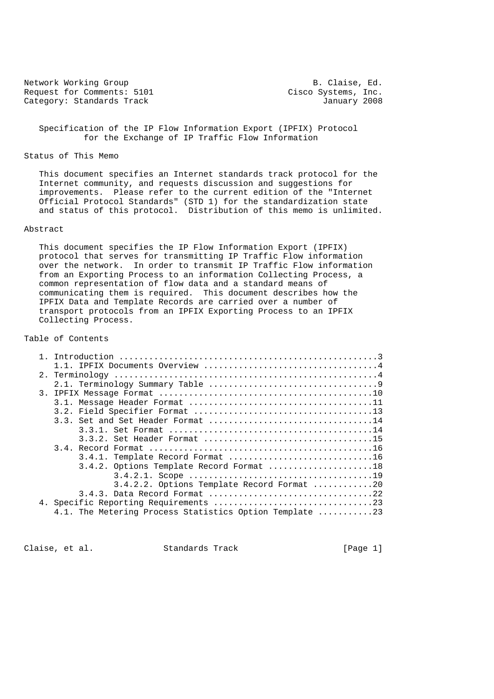Network Working Group B. Claise, Ed.<br>Request for Comments: 5101 Cisco Systems, Inc. Request for Comments: 5101 Cisco Systems, Inc.<br>Category: Standards Track Gategory: Category: Category: Category: Category: Category: Category: Category: Category: Category: Category: Category: Category: Category: Category: Category: Standards Track

 Specification of the IP Flow Information Export (IPFIX) Protocol for the Exchange of IP Traffic Flow Information

## Status of This Memo

 This document specifies an Internet standards track protocol for the Internet community, and requests discussion and suggestions for improvements. Please refer to the current edition of the "Internet Official Protocol Standards" (STD 1) for the standardization state and status of this protocol. Distribution of this memo is unlimited.

## Abstract

 This document specifies the IP Flow Information Export (IPFIX) protocol that serves for transmitting IP Traffic Flow information over the network. In order to transmit IP Traffic Flow information from an Exporting Process to an information Collecting Process, a common representation of flow data and a standard means of communicating them is required. This document describes how the IPFIX Data and Template Records are carried over a number of transport protocols from an IPFIX Exporting Process to an IPFIX Collecting Process.

## Table of Contents

|  | 3.3. Set and Set Header Format 14                       |
|--|---------------------------------------------------------|
|  |                                                         |
|  |                                                         |
|  |                                                         |
|  | 3.4.1. Template Record Format 16                        |
|  | 3.4.2. Options Template Record Format 18                |
|  |                                                         |
|  | 3.4.2.2. Options Template Record Format 20              |
|  | 3.4.3. Data Record Format 22                            |
|  |                                                         |
|  | 4.1. The Metering Process Statistics Option Template 23 |

Claise, et al. Standards Track [Page 1]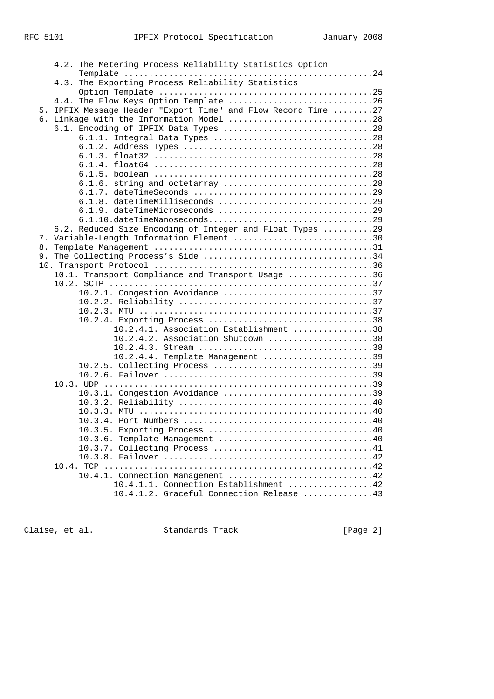| 4.2. The Metering Process Reliability Statistics Option                     |  |
|-----------------------------------------------------------------------------|--|
|                                                                             |  |
| 4.3. The Exporting Process Reliability Statistics                           |  |
|                                                                             |  |
| 4.4. The Flow Keys Option Template 26                                       |  |
| 5. IPFIX Message Header "Export Time" and Flow Record Time 27               |  |
| 6. Linkage with the Information Model 28                                    |  |
| 6.1. Encoding of IPFIX Data Types 28                                        |  |
| 6.1.1. Integral Data Types 28                                               |  |
|                                                                             |  |
|                                                                             |  |
|                                                                             |  |
|                                                                             |  |
|                                                                             |  |
|                                                                             |  |
|                                                                             |  |
| 6.1.9. dateTimeMicroseconds 29                                              |  |
| 6.1.10.dateTimeNanoseconds29                                                |  |
| 6.2. Reduced Size Encoding of Integer and Float Types 29                    |  |
| 7. Variable-Length Information Element 30                                   |  |
|                                                                             |  |
|                                                                             |  |
|                                                                             |  |
| 10.1. Transport Compliance and Transport Usage 36                           |  |
|                                                                             |  |
| 10.2.1. Congestion Avoidance 37                                             |  |
|                                                                             |  |
|                                                                             |  |
| 10.2.4. Exporting Process 38                                                |  |
| 10.2.4.1. Association Establishment 38<br>10.2.4.2. Association Shutdown 38 |  |
| 10.2.4.3. Stream 38                                                         |  |
| 10.2.4.4. Template Management 39                                            |  |
|                                                                             |  |
|                                                                             |  |
|                                                                             |  |
| 10.3.1. Congestion Avoidance 39                                             |  |
|                                                                             |  |
|                                                                             |  |
|                                                                             |  |
|                                                                             |  |
| 10.3.6. Template Management 40                                              |  |
|                                                                             |  |
|                                                                             |  |
|                                                                             |  |
| 10.4.1. Connection Management 42                                            |  |
| 10.4.1.1. Connection Establishment 42                                       |  |
| 10.4.1.2. Graceful Connection Release 43                                    |  |

Claise, et al. Standards Track [Page 2]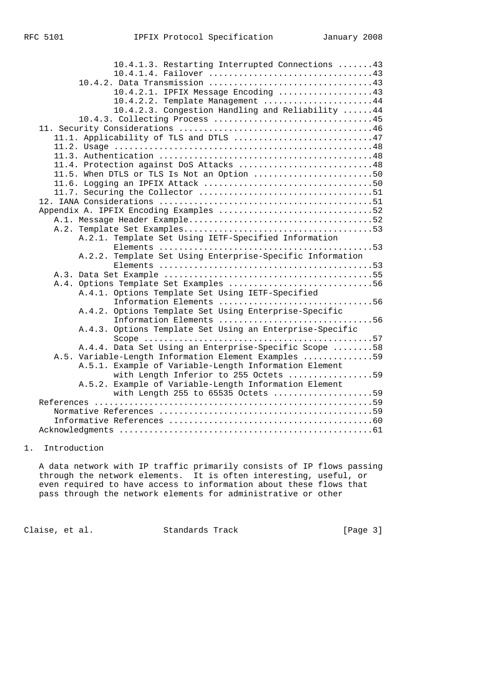| 10.4.1.3. Restarting Interrupted Connections 43           |
|-----------------------------------------------------------|
|                                                           |
|                                                           |
| 10.4.2.1. IPFIX Message Encoding 43                       |
| 10.4.2.2. Template Management 44                          |
| 10.4.2.3. Congestion Handling and Reliability 44          |
|                                                           |
|                                                           |
| 11.1. Applicability of TLS and DTLS 47                    |
|                                                           |
|                                                           |
| 11.4. Protection against DoS Attacks 48                   |
| 11.5. When DTLS or TLS Is Not an Option 50                |
|                                                           |
|                                                           |
|                                                           |
| Appendix A. IPFIX Encoding Examples 52                    |
|                                                           |
|                                                           |
| A.2.1. Template Set Using IETF-Specified Information      |
|                                                           |
| A.2.2. Template Set Using Enterprise-Specific Information |
|                                                           |
|                                                           |
|                                                           |
|                                                           |
| A.4.1. Options Template Set Using IETF-Specified          |
| Information Elements 56                                   |
| A.4.2. Options Template Set Using Enterprise-Specific     |
| Information Elements 56                                   |
| A.4.3. Options Template Set Using an Enterprise-Specific  |
|                                                           |
| A.4.4. Data Set Using an Enterprise-Specific Scope 58     |
| A.5. Variable-Length Information Element Examples 59      |
| A.5.1. Example of Variable-Length Information Element     |
| with Length Inferior to 255 Octets 59                     |
| A.5.2. Example of Variable-Length Information Element     |
| with Length 255 to 65535 Octets 59                        |
|                                                           |
|                                                           |
|                                                           |
|                                                           |

# 1. Introduction

 A data network with IP traffic primarily consists of IP flows passing through the network elements. It is often interesting, useful, or even required to have access to information about these flows that pass through the network elements for administrative or other

Claise, et al. Standards Track [Page 3]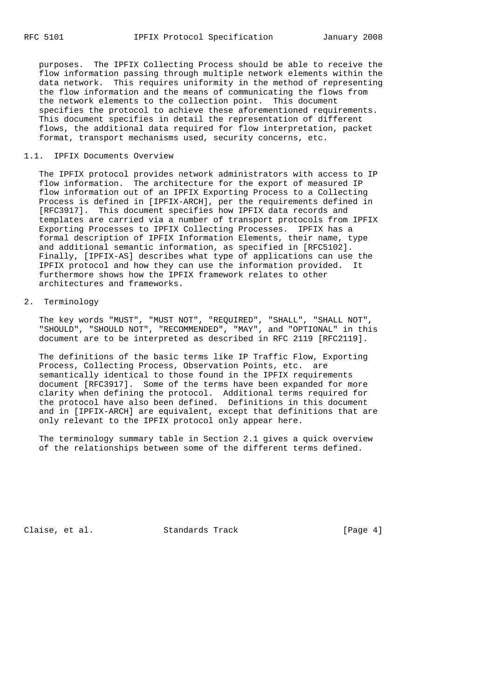purposes. The IPFIX Collecting Process should be able to receive the flow information passing through multiple network elements within the data network. This requires uniformity in the method of representing the flow information and the means of communicating the flows from the network elements to the collection point. This document specifies the protocol to achieve these aforementioned requirements. This document specifies in detail the representation of different flows, the additional data required for flow interpretation, packet format, transport mechanisms used, security concerns, etc.

## 1.1. IPFIX Documents Overview

 The IPFIX protocol provides network administrators with access to IP flow information. The architecture for the export of measured IP flow information out of an IPFIX Exporting Process to a Collecting Process is defined in [IPFIX-ARCH], per the requirements defined in [RFC3917]. This document specifies how IPFIX data records and templates are carried via a number of transport protocols from IPFIX Exporting Processes to IPFIX Collecting Processes. IPFIX has a formal description of IPFIX Information Elements, their name, type and additional semantic information, as specified in [RFC5102]. Finally, [IPFIX-AS] describes what type of applications can use the IPFIX protocol and how they can use the information provided. It furthermore shows how the IPFIX framework relates to other architectures and frameworks.

## 2. Terminology

 The key words "MUST", "MUST NOT", "REQUIRED", "SHALL", "SHALL NOT", "SHOULD", "SHOULD NOT", "RECOMMENDED", "MAY", and "OPTIONAL" in this document are to be interpreted as described in RFC 2119 [RFC2119].

 The definitions of the basic terms like IP Traffic Flow, Exporting Process, Collecting Process, Observation Points, etc. are semantically identical to those found in the IPFIX requirements document [RFC3917]. Some of the terms have been expanded for more clarity when defining the protocol. Additional terms required for the protocol have also been defined. Definitions in this document and in [IPFIX-ARCH] are equivalent, except that definitions that are only relevant to the IPFIX protocol only appear here.

 The terminology summary table in Section 2.1 gives a quick overview of the relationships between some of the different terms defined.

Claise, et al. Standards Track [Page 4]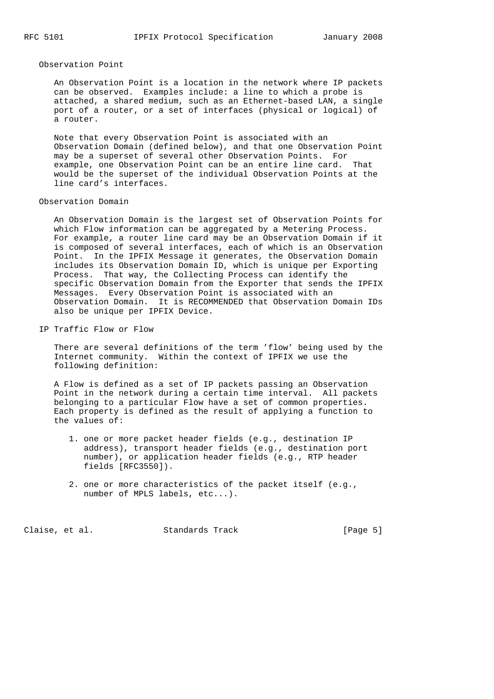### Observation Point

 An Observation Point is a location in the network where IP packets can be observed. Examples include: a line to which a probe is attached, a shared medium, such as an Ethernet-based LAN, a single port of a router, or a set of interfaces (physical or logical) of a router.

 Note that every Observation Point is associated with an Observation Domain (defined below), and that one Observation Point may be a superset of several other Observation Points. For example, one Observation Point can be an entire line card. That would be the superset of the individual Observation Points at the line card's interfaces.

## Observation Domain

 An Observation Domain is the largest set of Observation Points for which Flow information can be aggregated by a Metering Process. For example, a router line card may be an Observation Domain if it is composed of several interfaces, each of which is an Observation Point. In the IPFIX Message it generates, the Observation Domain includes its Observation Domain ID, which is unique per Exporting Process. That way, the Collecting Process can identify the specific Observation Domain from the Exporter that sends the IPFIX Messages. Every Observation Point is associated with an Observation Domain. It is RECOMMENDED that Observation Domain IDs also be unique per IPFIX Device.

IP Traffic Flow or Flow

 There are several definitions of the term 'flow' being used by the Internet community. Within the context of IPFIX we use the following definition:

 A Flow is defined as a set of IP packets passing an Observation Point in the network during a certain time interval. All packets belonging to a particular Flow have a set of common properties. Each property is defined as the result of applying a function to the values of:

- 1. one or more packet header fields (e.g., destination IP address), transport header fields (e.g., destination port number), or application header fields (e.g., RTP header fields [RFC3550]).
- 2. one or more characteristics of the packet itself (e.g., number of MPLS labels, etc...).

Claise, et al. Standards Track [Page 5]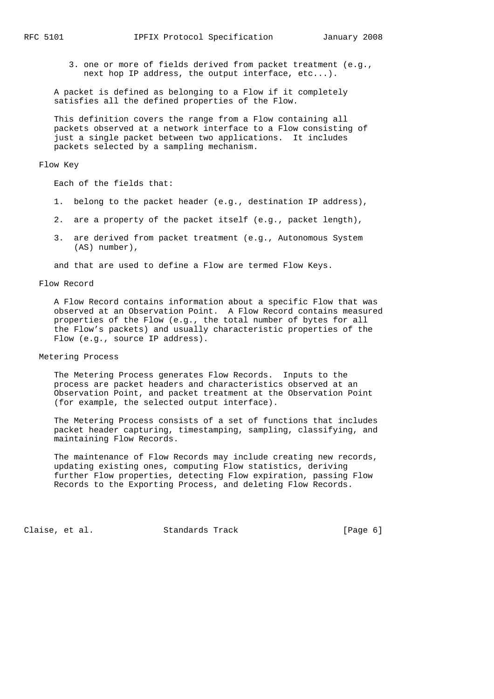3. one or more of fields derived from packet treatment (e.g., next hop IP address, the output interface, etc...).

 A packet is defined as belonging to a Flow if it completely satisfies all the defined properties of the Flow.

 This definition covers the range from a Flow containing all packets observed at a network interface to a Flow consisting of just a single packet between two applications. It includes packets selected by a sampling mechanism.

#### Flow Key

Each of the fields that:

- 1. belong to the packet header (e.g., destination IP address),
- 2. are a property of the packet itself (e.g., packet length),
- 3. are derived from packet treatment (e.g., Autonomous System (AS) number),

and that are used to define a Flow are termed Flow Keys.

#### Flow Record

 A Flow Record contains information about a specific Flow that was observed at an Observation Point. A Flow Record contains measured properties of the Flow (e.g., the total number of bytes for all the Flow's packets) and usually characteristic properties of the Flow (e.g., source IP address).

## Metering Process

 The Metering Process generates Flow Records. Inputs to the process are packet headers and characteristics observed at an Observation Point, and packet treatment at the Observation Point (for example, the selected output interface).

 The Metering Process consists of a set of functions that includes packet header capturing, timestamping, sampling, classifying, and maintaining Flow Records.

 The maintenance of Flow Records may include creating new records, updating existing ones, computing Flow statistics, deriving further Flow properties, detecting Flow expiration, passing Flow Records to the Exporting Process, and deleting Flow Records.

Claise, et al. Standards Track [Page 6]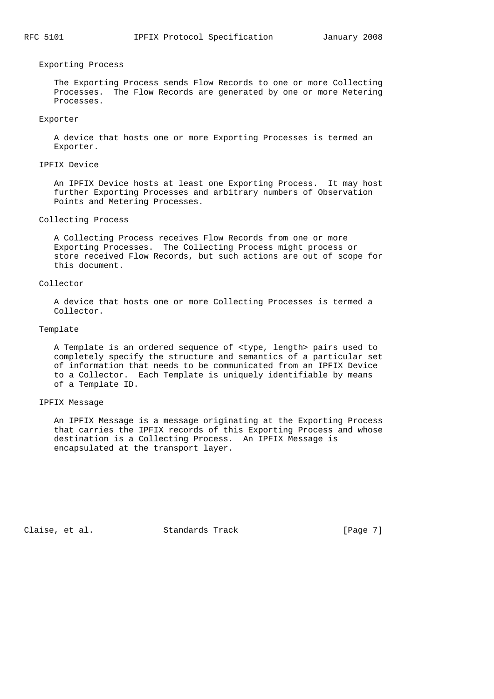### Exporting Process

 The Exporting Process sends Flow Records to one or more Collecting Processes. The Flow Records are generated by one or more Metering Processes.

#### Exporter

 A device that hosts one or more Exporting Processes is termed an Exporter.

#### IPFIX Device

 An IPFIX Device hosts at least one Exporting Process. It may host further Exporting Processes and arbitrary numbers of Observation Points and Metering Processes.

## Collecting Process

 A Collecting Process receives Flow Records from one or more Exporting Processes. The Collecting Process might process or store received Flow Records, but such actions are out of scope for this document.

### Collector

 A device that hosts one or more Collecting Processes is termed a Collector.

## Template

 A Template is an ordered sequence of <type, length> pairs used to completely specify the structure and semantics of a particular set of information that needs to be communicated from an IPFIX Device to a Collector. Each Template is uniquely identifiable by means of a Template ID.

## IPFIX Message

 An IPFIX Message is a message originating at the Exporting Process that carries the IPFIX records of this Exporting Process and whose destination is a Collecting Process. An IPFIX Message is encapsulated at the transport layer.

Claise, et al. Standards Track [Page 7]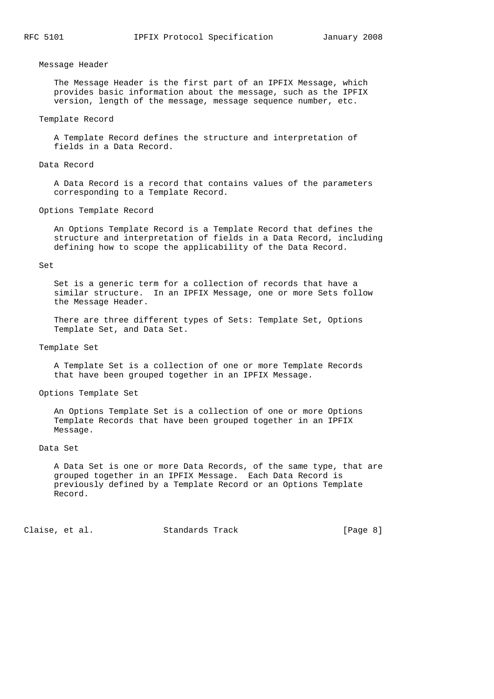### Message Header

 The Message Header is the first part of an IPFIX Message, which provides basic information about the message, such as the IPFIX version, length of the message, message sequence number, etc.

### Template Record

 A Template Record defines the structure and interpretation of fields in a Data Record.

#### Data Record

 A Data Record is a record that contains values of the parameters corresponding to a Template Record.

### Options Template Record

 An Options Template Record is a Template Record that defines the structure and interpretation of fields in a Data Record, including defining how to scope the applicability of the Data Record.

### Set

 Set is a generic term for a collection of records that have a similar structure. In an IPFIX Message, one or more Sets follow the Message Header.

 There are three different types of Sets: Template Set, Options Template Set, and Data Set.

## Template Set

 A Template Set is a collection of one or more Template Records that have been grouped together in an IPFIX Message.

#### Options Template Set

 An Options Template Set is a collection of one or more Options Template Records that have been grouped together in an IPFIX Message.

### Data Set

 A Data Set is one or more Data Records, of the same type, that are grouped together in an IPFIX Message. Each Data Record is previously defined by a Template Record or an Options Template Record.

Claise, et al. Standards Track [Page 8]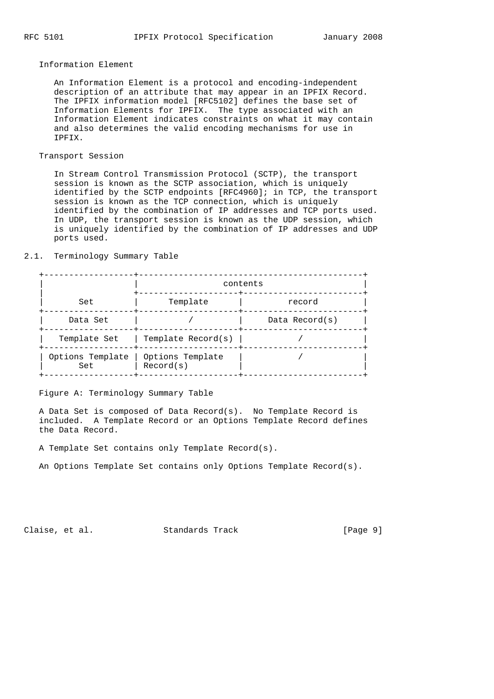### Information Element

 An Information Element is a protocol and encoding-independent description of an attribute that may appear in an IPFIX Record. The IPFIX information model [RFC5102] defines the base set of Information Elements for IPFIX. The type associated with an Information Element indicates constraints on what it may contain and also determines the valid encoding mechanisms for use in IPFIX.

## Transport Session

 In Stream Control Transmission Protocol (SCTP), the transport session is known as the SCTP association, which is uniquely identified by the SCTP endpoints [RFC4960]; in TCP, the transport session is known as the TCP connection, which is uniquely identified by the combination of IP addresses and TCP ports used. In UDP, the transport session is known as the UDP session, which is uniquely identified by the combination of IP addresses and UDP ports used.

## 2.1. Terminology Summary Table

|                         | contents                      |                   |  |  |  |  |  |  |  |
|-------------------------|-------------------------------|-------------------|--|--|--|--|--|--|--|
| Set                     | Template                      | record            |  |  |  |  |  |  |  |
| Data Set                |                               | Data Record $(s)$ |  |  |  |  |  |  |  |
| Template Set            | Template Record(s)            |                   |  |  |  |  |  |  |  |
| Options Template<br>Set | Options Template<br>Record(s) |                   |  |  |  |  |  |  |  |

#### Figure A: Terminology Summary Table

 A Data Set is composed of Data Record(s). No Template Record is included. A Template Record or an Options Template Record defines the Data Record.

A Template Set contains only Template Record(s).

An Options Template Set contains only Options Template Record(s).

Claise, et al. Standards Track [Page 9]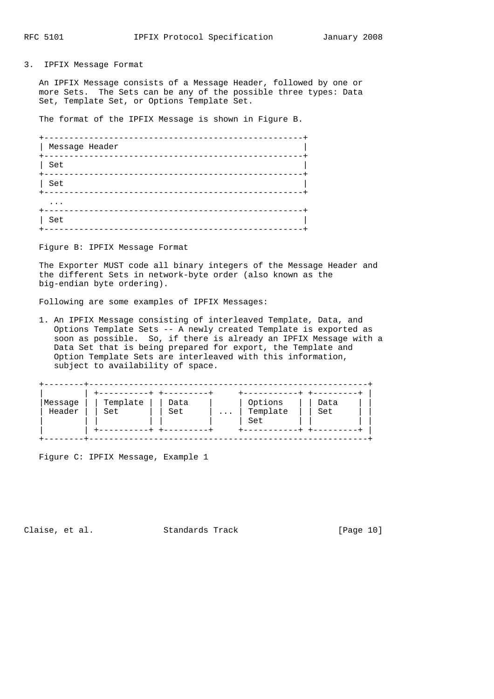## 3. IPFIX Message Format

 An IPFIX Message consists of a Message Header, followed by one or more Sets. The Sets can be any of the possible three types: Data Set, Template Set, or Options Template Set.

The format of the IPFIX Message is shown in Figure B.

 +----------------------------------------------------+ | Message Header | +----------------------------------------------------+ | Set | +----------------------------------------------------+ | Set | +----------------------------------------------------+ ... +----------------------------------------------------+ | Set | +----------------------------------------------------+

#### Figure B: IPFIX Message Format

 The Exporter MUST code all binary integers of the Message Header and the different Sets in network-byte order (also known as the big-endian byte ordering).

Following are some examples of IPFIX Messages:

 1. An IPFIX Message consisting of interleaved Template, Data, and Options Template Sets -- A newly created Template is exported as soon as possible. So, if there is already an IPFIX Message with a Data Set that is being prepared for export, the Template and Option Template Sets are interleaved with this information, subject to availability of space.

| Messaqe<br>Header | Template<br>Set | Data<br>Set | $\cdots$ | Options<br>Template<br>Set | Data<br>Set |
|-------------------|-----------------|-------------|----------|----------------------------|-------------|
|-------------------|-----------------|-------------|----------|----------------------------|-------------|

Figure C: IPFIX Message, Example 1

Claise, et al. Standards Track [Page 10]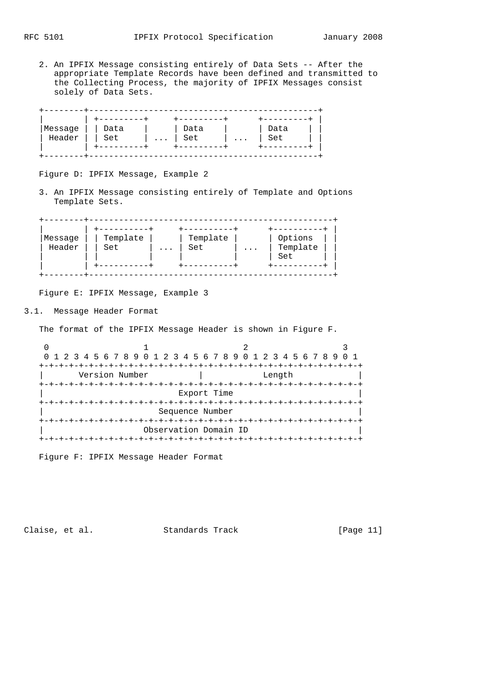2. An IPFIX Message consisting entirely of Data Sets -- After the appropriate Template Records have been defined and transmitted to the Collecting Process, the majority of IPFIX Messages consist solely of Data Sets.

| Message | Data |          | Data |          | Data |
|---------|------|----------|------|----------|------|
| Header  | Set  | $\cdots$ | Set  | $\cdots$ | Set  |
|         |      |          |      |          |      |

Figure D: IPFIX Message, Example 2

 3. An IPFIX Message consisting entirely of Template and Options Template Sets.

| Message<br>Header | Template<br>Set | $\cdot$ $\cdot$ $\cdot$ | Template<br>Set | $\cdot$ $\cdot$ $\cdot$ | Options<br>Template |
|-------------------|-----------------|-------------------------|-----------------|-------------------------|---------------------|
|                   |                 |                         |                 |                         | Set                 |

Figure E: IPFIX Message, Example 3

3.1. Message Header Format

The format of the IPFIX Message Header is shown in Figure F.

0  $1$  2 3 0 1 2 3 4 5 6 7 8 9 0 1 2 3 4 5 6 7 8 9 0 1 2 3 4 5 6 7 8 9 0 1 +-+-+-+-+-+-+-+-+-+-+-+-+-+-+-+-+-+-+-+-+-+-+-+-+-+-+-+-+-+-+-+-+ | Version Number | Length | +-+-+-+-+-+-+-+-+-+-+-+-+-+-+-+-+-+-+-+-+-+-+-+-+-+-+-+-+-+-+-+-+ Export Time +-+-+-+-+-+-+-+-+-+-+-+-+-+-+-+-+-+-+-+-+-+-+-+-+-+-+-+-+-+-+-+-+ | Sequence Number | +-+-+-+-+-+-+-+-+-+-+-+-+-+-+-+-+-+-+-+-+-+-+-+-+-+-+-+-+-+-+-+-+ Observation Domain ID +-+-+-+-+-+-+-+-+-+-+-+-+-+-+-+-+-+-+-+-+-+-+-+-+-+-+-+-+-+-+-+-+

Figure F: IPFIX Message Header Format

Claise, et al. Standards Track [Page 11]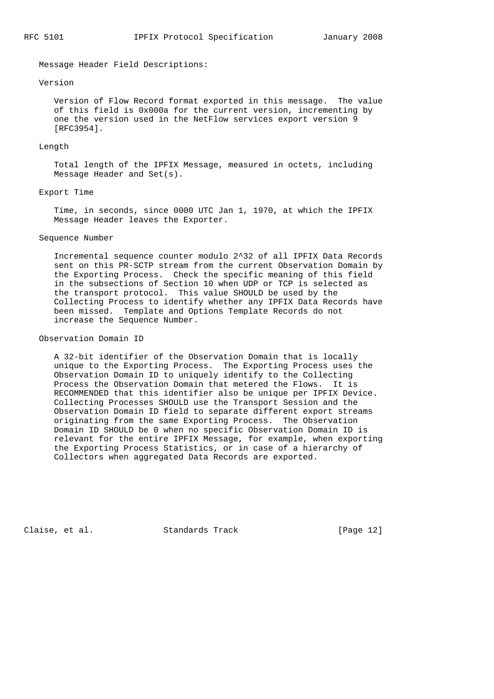Message Header Field Descriptions:

#### Version

 Version of Flow Record format exported in this message. The value of this field is 0x000a for the current version, incrementing by one the version used in the NetFlow services export version 9 [RFC3954].

#### Length

 Total length of the IPFIX Message, measured in octets, including Message Header and Set(s).

## Export Time

 Time, in seconds, since 0000 UTC Jan 1, 1970, at which the IPFIX Message Header leaves the Exporter.

#### Sequence Number

 Incremental sequence counter modulo 2^32 of all IPFIX Data Records sent on this PR-SCTP stream from the current Observation Domain by the Exporting Process. Check the specific meaning of this field in the subsections of Section 10 when UDP or TCP is selected as the transport protocol. This value SHOULD be used by the Collecting Process to identify whether any IPFIX Data Records have been missed. Template and Options Template Records do not increase the Sequence Number.

## Observation Domain ID

 A 32-bit identifier of the Observation Domain that is locally unique to the Exporting Process. The Exporting Process uses the Observation Domain ID to uniquely identify to the Collecting Process the Observation Domain that metered the Flows. It is RECOMMENDED that this identifier also be unique per IPFIX Device. Collecting Processes SHOULD use the Transport Session and the Observation Domain ID field to separate different export streams originating from the same Exporting Process. The Observation Domain ID SHOULD be 0 when no specific Observation Domain ID is relevant for the entire IPFIX Message, for example, when exporting the Exporting Process Statistics, or in case of a hierarchy of Collectors when aggregated Data Records are exported.

Claise, et al. Standards Track [Page 12]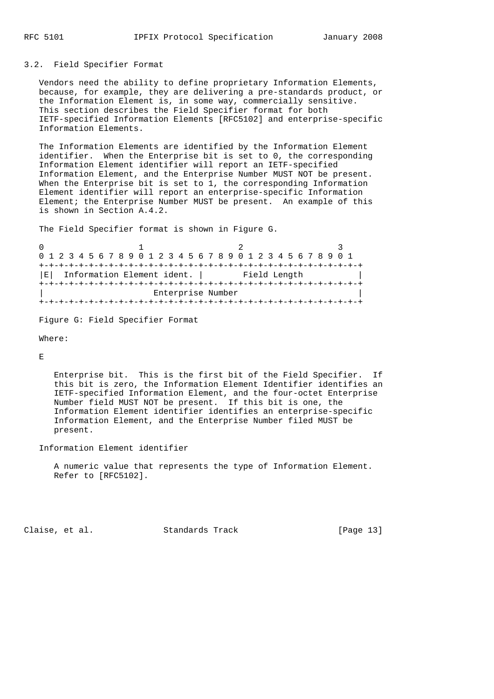## 3.2. Field Specifier Format

 Vendors need the ability to define proprietary Information Elements, because, for example, they are delivering a pre-standards product, or the Information Element is, in some way, commercially sensitive. This section describes the Field Specifier format for both IETF-specified Information Elements [RFC5102] and enterprise-specific Information Elements.

 The Information Elements are identified by the Information Element identifier. When the Enterprise bit is set to 0, the corresponding Information Element identifier will report an IETF-specified Information Element, and the Enterprise Number MUST NOT be present. When the Enterprise bit is set to 1, the corresponding Information Element identifier will report an enterprise-specific Information Element; the Enterprise Number MUST be present. An example of this is shown in Section A.4.2.

The Field Specifier format is shown in Figure G.

| 0 1 2 3 4 5 6 7 8 9 0 1 2 3 4 5 6 7 8 9 0 1 2 3 4 5 6 7 8 9 0 1 |                   |  |
|-----------------------------------------------------------------|-------------------|--|
|                                                                 |                   |  |
| $ E $ Information Element ident. $ $                            | Field Length      |  |
|                                                                 |                   |  |
|                                                                 | Enterprise Number |  |
|                                                                 |                   |  |

Figure G: Field Specifier Format

## Where:

E

 Enterprise bit. This is the first bit of the Field Specifier. If this bit is zero, the Information Element Identifier identifies an IETF-specified Information Element, and the four-octet Enterprise Number field MUST NOT be present. If this bit is one, the Information Element identifier identifies an enterprise-specific Information Element, and the Enterprise Number filed MUST be present.

## Information Element identifier

 A numeric value that represents the type of Information Element. Refer to [RFC5102].

Claise, et al. Standards Track [Page 13]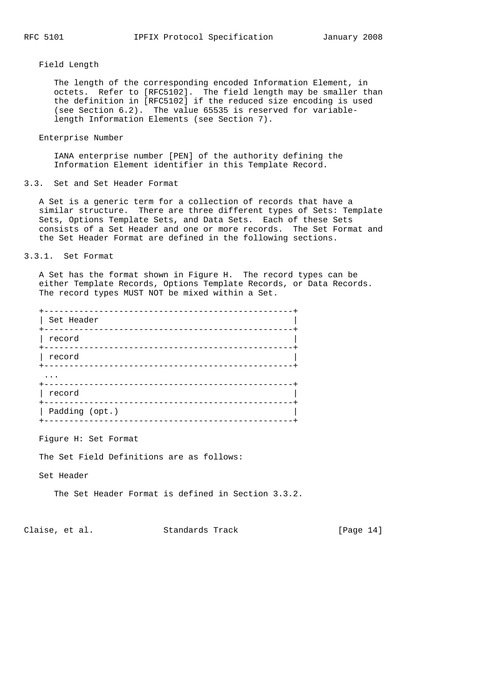Field Length

 The length of the corresponding encoded Information Element, in octets. Refer to [RFC5102]. The field length may be smaller than the definition in [RFC5102] if the reduced size encoding is used (see Section 6.2). The value 65535 is reserved for variable length Information Elements (see Section 7).

Enterprise Number

 IANA enterprise number [PEN] of the authority defining the Information Element identifier in this Template Record.

3.3. Set and Set Header Format

 A Set is a generic term for a collection of records that have a similar structure. There are three different types of Sets: Template Sets, Options Template Sets, and Data Sets. Each of these Sets consists of a Set Header and one or more records. The Set Format and the Set Header Format are defined in the following sections.

3.3.1. Set Format

 A Set has the format shown in Figure H. The record types can be either Template Records, Options Template Records, or Data Records. The record types MUST NOT be mixed within a Set.

| Set Header     |  |  |
|----------------|--|--|
| record         |  |  |
| record         |  |  |
| . .            |  |  |
| record         |  |  |
| Padding (opt.) |  |  |

Figure H: Set Format

The Set Field Definitions are as follows:

Set Header

The Set Header Format is defined in Section 3.3.2.

Claise, et al. Standards Track [Page 14]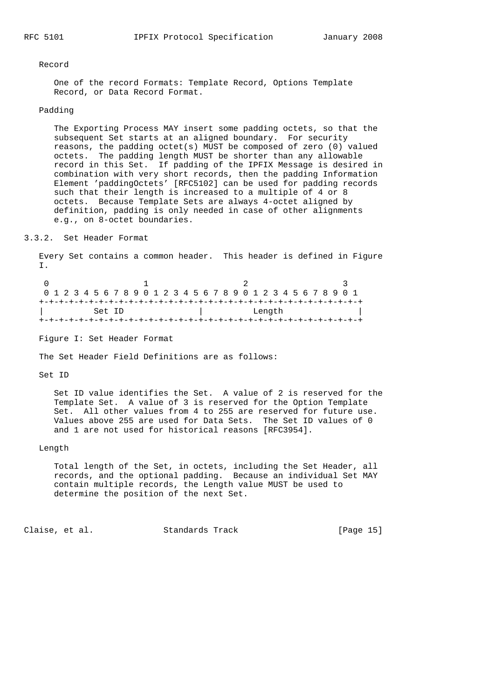#### Record

 One of the record Formats: Template Record, Options Template Record, or Data Record Format.

## Padding

 The Exporting Process MAY insert some padding octets, so that the subsequent Set starts at an aligned boundary. For security reasons, the padding octet(s) MUST be composed of zero (0) valued octets. The padding length MUST be shorter than any allowable record in this Set. If padding of the IPFIX Message is desired in combination with very short records, then the padding Information Element 'paddingOctets' [RFC5102] can be used for padding records such that their length is increased to a multiple of 4 or 8 octets. Because Template Sets are always 4-octet aligned by definition, padding is only needed in case of other alignments e.g., on 8-octet boundaries.

## 3.3.2. Set Header Format

 Every Set contains a common header. This header is defined in Figure I.

|  |  |  |        |  |  |  |  |  |  |  |        |  |  |  | 0 1 2 3 4 5 6 7 8 9 0 1 2 3 4 5 6 7 8 9 0 1 2 3 4 5 6 7 8 9 0 1 |  |
|--|--|--|--------|--|--|--|--|--|--|--|--------|--|--|--|-----------------------------------------------------------------|--|
|  |  |  |        |  |  |  |  |  |  |  |        |  |  |  |                                                                 |  |
|  |  |  | Set ID |  |  |  |  |  |  |  | Length |  |  |  |                                                                 |  |
|  |  |  |        |  |  |  |  |  |  |  |        |  |  |  |                                                                 |  |

Figure I: Set Header Format

The Set Header Field Definitions are as follows:

Set ID

 Set ID value identifies the Set. A value of 2 is reserved for the Template Set. A value of 3 is reserved for the Option Template Set. All other values from 4 to 255 are reserved for future use. Values above 255 are used for Data Sets. The Set ID values of 0 and 1 are not used for historical reasons [RFC3954].

### Length

 Total length of the Set, in octets, including the Set Header, all records, and the optional padding. Because an individual Set MAY contain multiple records, the Length value MUST be used to determine the position of the next Set.

Claise, et al. Standards Track [Page 15]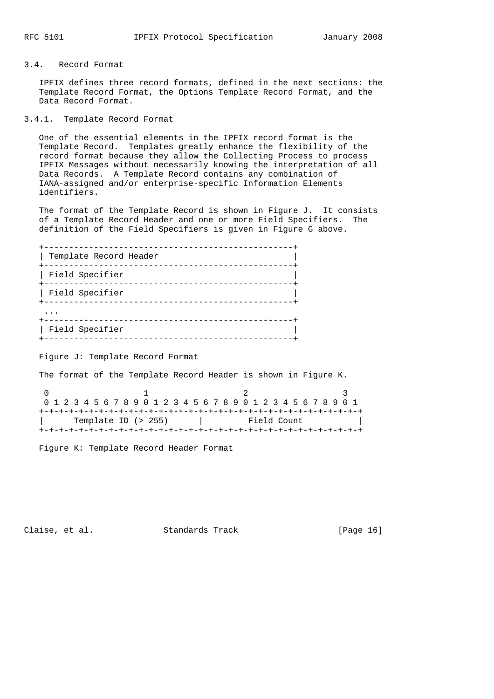## 3.4. Record Format

 IPFIX defines three record formats, defined in the next sections: the Template Record Format, the Options Template Record Format, and the Data Record Format.

3.4.1. Template Record Format

 One of the essential elements in the IPFIX record format is the Template Record. Templates greatly enhance the flexibility of the record format because they allow the Collecting Process to process IPFIX Messages without necessarily knowing the interpretation of all Data Records. A Template Record contains any combination of IANA-assigned and/or enterprise-specific Information Elements identifiers.

 The format of the Template Record is shown in Figure J. It consists of a Template Record Header and one or more Field Specifiers. The definition of the Field Specifiers is given in Figure G above.

| Template Record Header |  |
|------------------------|--|
| Field Specifier        |  |
| Field Specifier        |  |
|                        |  |
| Field Specifier        |  |

Figure J: Template Record Format

The format of the Template Record Header is shown in Figure K.

0  $1$  2 3 0 1 2 3 4 5 6 7 8 9 0 1 2 3 4 5 6 7 8 9 0 1 2 3 4 5 6 7 8 9 0 1 +-+-+-+-+-+-+-+-+-+-+-+-+-+-+-+-+-+-+-+-+-+-+-+-+-+-+-+-+-+-+-+-+ | Template ID (> 255) | Field Count | +-+-+-+-+-+-+-+-+-+-+-+-+-+-+-+-+-+-+-+-+-+-+-+-+-+-+-+-+-+-+-+-+

Figure K: Template Record Header Format

Claise, et al. Standards Track [Page 16]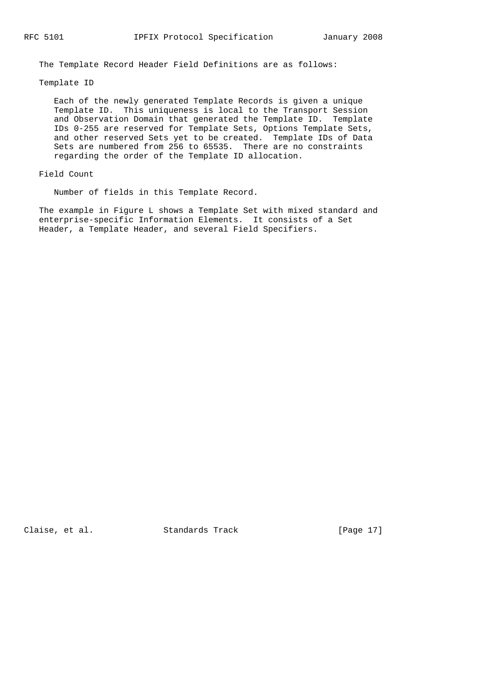The Template Record Header Field Definitions are as follows:

Template ID

 Each of the newly generated Template Records is given a unique Template ID. This uniqueness is local to the Transport Session and Observation Domain that generated the Template ID. Template IDs 0-255 are reserved for Template Sets, Options Template Sets, and other reserved Sets yet to be created. Template IDs of Data Sets are numbered from 256 to 65535. There are no constraints regarding the order of the Template ID allocation.

### Field Count

Number of fields in this Template Record.

The example in Figure L shows a Template Set with mixed standard and enterprise-specific Information Elements. It consists of a Set Header, a Template Header, and several Field Specifiers.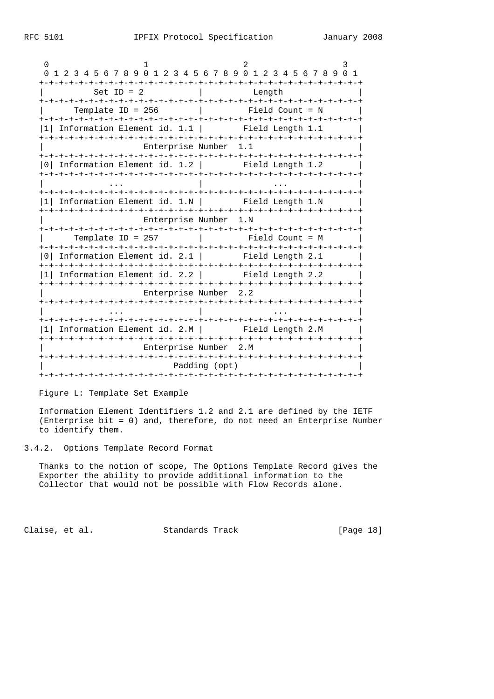| 0           |                                                                 |                       |                  |  |
|-------------|-----------------------------------------------------------------|-----------------------|------------------|--|
|             | 0 1 2 3 4 5 6 7 8 9 0 1 2 3 4 5 6 7 8 9 0 1 2 3 4 5 6 7 8 9 0 1 |                       |                  |  |
|             | Set ID = $2$                                                    |                       | Length           |  |
|             | Template ID = $256$                                             |                       | Field Count = N  |  |
|             | Information Element id. 1.1                                     |                       | Field Length 1.1 |  |
|             |                                                                 | Enterprise Number 1.1 |                  |  |
|             | 0 Information Element id. 1.2                                   |                       | Field Length 1.2 |  |
|             |                                                                 |                       |                  |  |
|             | 1 Information Element id. 1.N   Field Length 1.N                |                       |                  |  |
|             |                                                                 | Enterprise Number 1.N |                  |  |
|             | Template ID = $257$                                             |                       | Field Count = M  |  |
|             | Information Element id. 2.1   Field Length 2.1                  |                       |                  |  |
|             | 1 Information Element id. 2.2                                   |                       | Field Length 2.2 |  |
|             |                                                                 | Enterprise Number 2.2 |                  |  |
|             |                                                                 |                       |                  |  |
|             | 1 Information Element id. 2.M   Field Length 2.M                |                       |                  |  |
|             |                                                                 | Enterprise Number 2.M |                  |  |
|             |                                                                 | Padding (opt)         |                  |  |
| ナーナーナーナーナーナ |                                                                 |                       |                  |  |

Figure L: Template Set Example

 Information Element Identifiers 1.2 and 2.1 are defined by the IETF (Enterprise bit = 0) and, therefore, do not need an Enterprise Number to identify them.

3.4.2. Options Template Record Format

 Thanks to the notion of scope, The Options Template Record gives the Exporter the ability to provide additional information to the Collector that would not be possible with Flow Records alone.

Claise, et al. Standards Track [Page 18]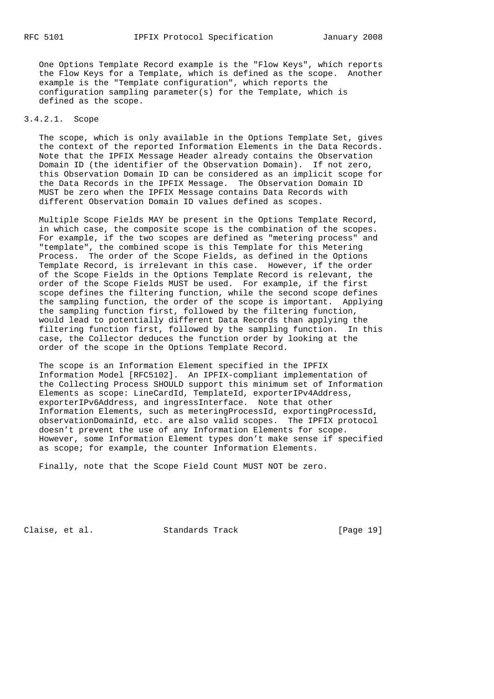One Options Template Record example is the "Flow Keys", which reports the Flow Keys for a Template, which is defined as the scope. Another example is the "Template configuration", which reports the configuration sampling parameter(s) for the Template, which is defined as the scope.

## 3.4.2.1. Scope

 The scope, which is only available in the Options Template Set, gives the context of the reported Information Elements in the Data Records. Note that the IPFIX Message Header already contains the Observation Domain ID (the identifier of the Observation Domain). If not zero, this Observation Domain ID can be considered as an implicit scope for the Data Records in the IPFIX Message. The Observation Domain ID MUST be zero when the IPFIX Message contains Data Records with different Observation Domain ID values defined as scopes.

 Multiple Scope Fields MAY be present in the Options Template Record, in which case, the composite scope is the combination of the scopes. For example, if the two scopes are defined as "metering process" and "template", the combined scope is this Template for this Metering Process. The order of the Scope Fields, as defined in the Options Template Record, is irrelevant in this case. However, if the order of the Scope Fields in the Options Template Record is relevant, the order of the Scope Fields MUST be used. For example, if the first scope defines the filtering function, while the second scope defines the sampling function, the order of the scope is important. Applying the sampling function first, followed by the filtering function, would lead to potentially different Data Records than applying the filtering function first, followed by the sampling function. In this case, the Collector deduces the function order by looking at the order of the scope in the Options Template Record.

 The scope is an Information Element specified in the IPFIX Information Model [RFC5102]. An IPFIX-compliant implementation of the Collecting Process SHOULD support this minimum set of Information Elements as scope: LineCardId, TemplateId, exporterIPv4Address, exporterIPv6Address, and ingressInterface. Note that other Information Elements, such as meteringProcessId, exportingProcessId, observationDomainId, etc. are also valid scopes. The IPFIX protocol doesn't prevent the use of any Information Elements for scope. However, some Information Element types don't make sense if specified as scope; for example, the counter Information Elements.

Finally, note that the Scope Field Count MUST NOT be zero.

Claise, et al. Standards Track [Page 19]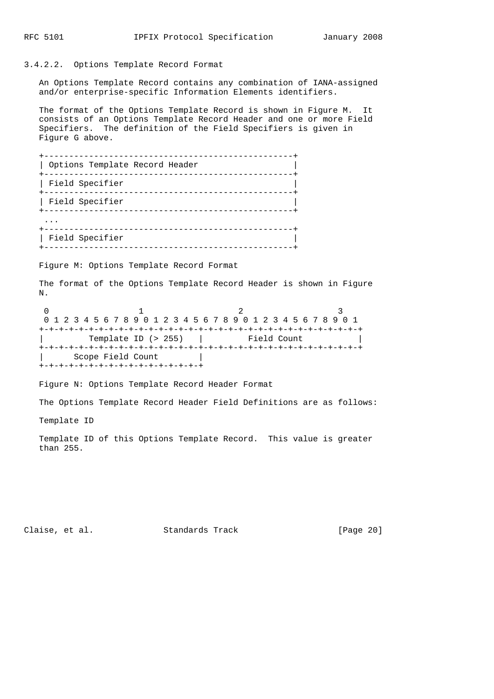3.4.2.2. Options Template Record Format

 An Options Template Record contains any combination of IANA-assigned and/or enterprise-specific Information Elements identifiers.

 The format of the Options Template Record is shown in Figure M. It consists of an Options Template Record Header and one or more Field Specifiers. The definition of the Field Specifiers is given in Figure G above.

| Options Template Record Header |
|--------------------------------|
| Field Specifier                |
| Field Specifier                |
|                                |
| Field Specifier                |

Figure M: Options Template Record Format

 The format of the Options Template Record Header is shown in Figure N.

0  $1$  2 3 0 1 2 3 4 5 6 7 8 9 0 1 2 3 4 5 6 7 8 9 0 1 2 3 4 5 6 7 8 9 0 1 +-+-+-+-+-+-+-+-+-+-+-+-+-+-+-+-+-+-+-+-+-+-+-+-+-+-+-+-+-+-+-+-+ | Template ID (> 255) | Field Count | +-+-+-+-+-+-+-+-+-+-+-+-+-+-+-+-+-+-+-+-+-+-+-+-+-+-+-+-+-+-+-+-+ | Scope Field Count | +-+-+-+-+-+-+-+-+-+-+-+-+-+-+-+-+

Figure N: Options Template Record Header Format

The Options Template Record Header Field Definitions are as follows:

Template ID

 Template ID of this Options Template Record. This value is greater than 255.

Claise, et al. Standards Track [Page 20]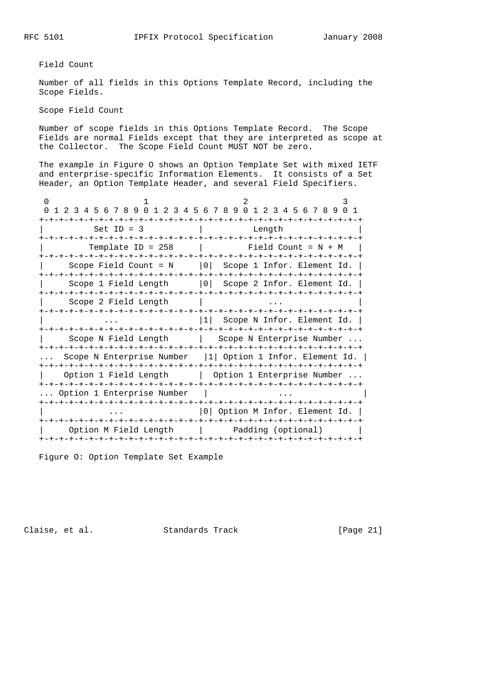Field Count

 Number of all fields in this Options Template Record, including the Scope Fields.

Scope Field Count

 Number of scope fields in this Options Template Record. The Scope Fields are normal Fields except that they are interpreted as scope at the Collector. The Scope Field Count MUST NOT be zero.

 The example in Figure O shows an Option Template Set with mixed IETF and enterprise-specific Information Elements. It consists of a Set Header, an Option Template Header, and several Field Specifiers.

|                                                                                                 | 3                                                                           |
|-------------------------------------------------------------------------------------------------|-----------------------------------------------------------------------------|
|                                                                                                 | 1 2 3 4 5 6 7 8 9 0 1 2 3 4 5 6 7 8 9 0 1 2 3 4 5 6 7 8 9 0 1               |
| -+-+-+-+-+-+-+-+-+-+-+-+-<br><b>ナーナーナーナーナーナーナーナーナーナ</b><br>Set ID = $3$<br>-+-+-+-+-+-+-+-+-+-+ | -+-+-+-+-+-+-+-+-+-+-+<br>Length<br>-+-+-+-+-+-+-+-+-+-+-+-+-+-+-+-+-+-+-+- |
| Template ID = $258$                                                                             | Field Count = N + M                                                         |
| Scope Field Count = $N$                                                                         | 0  Scope 1 Infor. Element Id.                                               |
|                                                                                                 | Scope 1 Field Length [0] Scope 2 Infor. Element Id.                         |
| Scope 2 Field Length                                                                            |                                                                             |
|                                                                                                 | 1 Scope N Infor. Element Id.                                                |
|                                                                                                 | Scope N Field Length [13] Scope N Enterprise Number                         |
|                                                                                                 | Scope N Enterprise Number $ 1 $ Option 1 Infor. Element Id.                 |
|                                                                                                 | Option 1 Field Length (0ption 1 Enterprise Number                           |
| Option 1 Enterprise Number                                                                      |                                                                             |
|                                                                                                 | 0 Option M Infor. Element Id.                                               |
| Option M Field Length                                                                           | Padding (optional)                                                          |
|                                                                                                 |                                                                             |

Figure O: Option Template Set Example

Claise, et al. Standards Track [Page 21]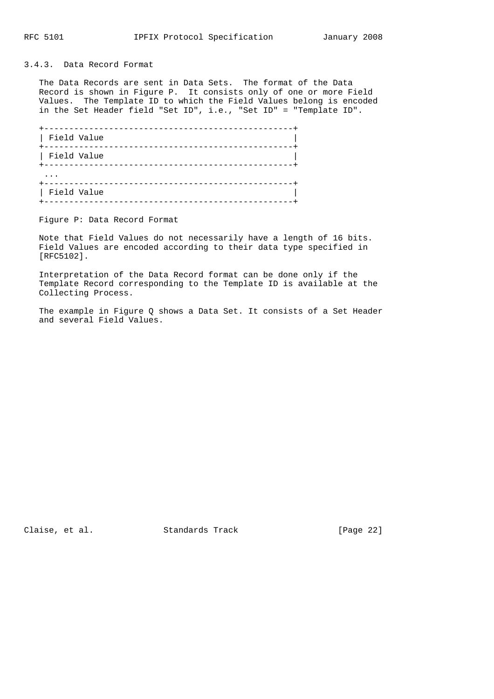## 3.4.3. Data Record Format

 The Data Records are sent in Data Sets. The format of the Data Record is shown in Figure P. It consists only of one or more Field Values. The Template ID to which the Field Values belong is encoded in the Set Header field "Set ID", i.e., "Set ID" = "Template ID".

|             | ------------- |  |
|-------------|---------------|--|
| Field Value |               |  |
|             | --------      |  |
| Field Value |               |  |
|             |               |  |
|             |               |  |
|             |               |  |
| Field Value |               |  |
|             |               |  |

Figure P: Data Record Format

 Note that Field Values do not necessarily have a length of 16 bits. Field Values are encoded according to their data type specified in [RFC5102].

 Interpretation of the Data Record format can be done only if the Template Record corresponding to the Template ID is available at the Collecting Process.

 The example in Figure Q shows a Data Set. It consists of a Set Header and several Field Values.

Claise, et al. Standards Track [Page 22]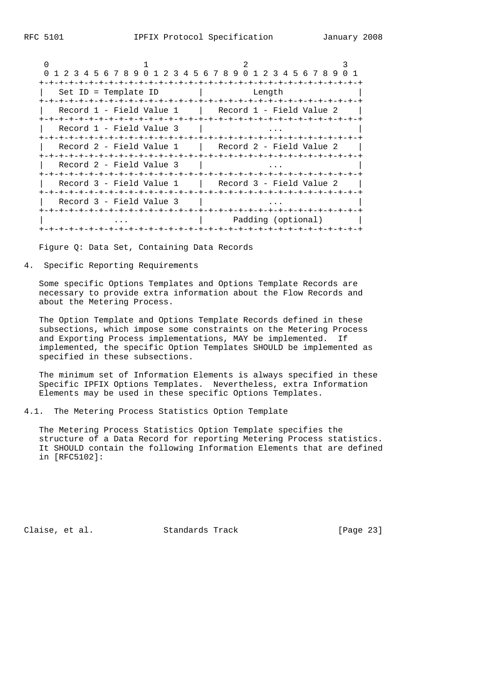|                                    | 0 1 2 3 4 5 6 7 8 9 0 1 2 3 4 5 6 7 8 9 0 1 2 3 4 5 6 7 8 9 0 1 |
|------------------------------------|-----------------------------------------------------------------|
| Set ID = Template ID in the Length | -+-+-+-+-+-+-+-+-+-+                                            |
|                                    | Record 1 - Field Value 1   Record 1 - Field Value 2             |
| Record 1 - Field Value 3           |                                                                 |
|                                    | Record 2 - Field Value 1 1 - Record 2 - Field Value 2           |
| Record 2 - Field Value 3           |                                                                 |
| Record 3 - Field Value 1           | Record 3 - Field Value 2                                        |
| Record 3 - Field Value 3           |                                                                 |
|                                    | Padding (optional)                                              |

Figure Q: Data Set, Containing Data Records

4. Specific Reporting Requirements

 Some specific Options Templates and Options Template Records are necessary to provide extra information about the Flow Records and about the Metering Process.

 The Option Template and Options Template Records defined in these subsections, which impose some constraints on the Metering Process and Exporting Process implementations, MAY be implemented. If implemented, the specific Option Templates SHOULD be implemented as specified in these subsections.

 The minimum set of Information Elements is always specified in these Specific IPFIX Options Templates. Nevertheless, extra Information Elements may be used in these specific Options Templates.

4.1. The Metering Process Statistics Option Template

 The Metering Process Statistics Option Template specifies the structure of a Data Record for reporting Metering Process statistics. It SHOULD contain the following Information Elements that are defined in [RFC5102]:

Claise, et al. Standards Track [Page 23]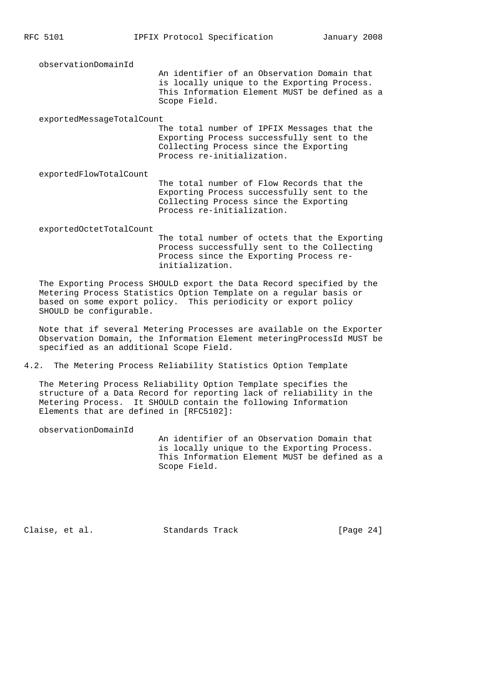observationDomainId An identifier of an Observation Domain that is locally unique to the Exporting Process. This Information Element MUST be defined as a Scope Field.

exportedMessageTotalCount

 The total number of IPFIX Messages that the Exporting Process successfully sent to the Collecting Process since the Exporting Process re-initialization.

exportedFlowTotalCount

 The total number of Flow Records that the Exporting Process successfully sent to the Collecting Process since the Exporting Process re-initialization.

exportedOctetTotalCount

 The total number of octets that the Exporting Process successfully sent to the Collecting Process since the Exporting Process re initialization.

 The Exporting Process SHOULD export the Data Record specified by the Metering Process Statistics Option Template on a regular basis or based on some export policy. This periodicity or export policy SHOULD be configurable.

 Note that if several Metering Processes are available on the Exporter Observation Domain, the Information Element meteringProcessId MUST be specified as an additional Scope Field.

4.2. The Metering Process Reliability Statistics Option Template

 The Metering Process Reliability Option Template specifies the structure of a Data Record for reporting lack of reliability in the Metering Process. It SHOULD contain the following Information Elements that are defined in [RFC5102]:

observationDomainId

 An identifier of an Observation Domain that is locally unique to the Exporting Process. This Information Element MUST be defined as a Scope Field.

Claise, et al. Standards Track [Page 24]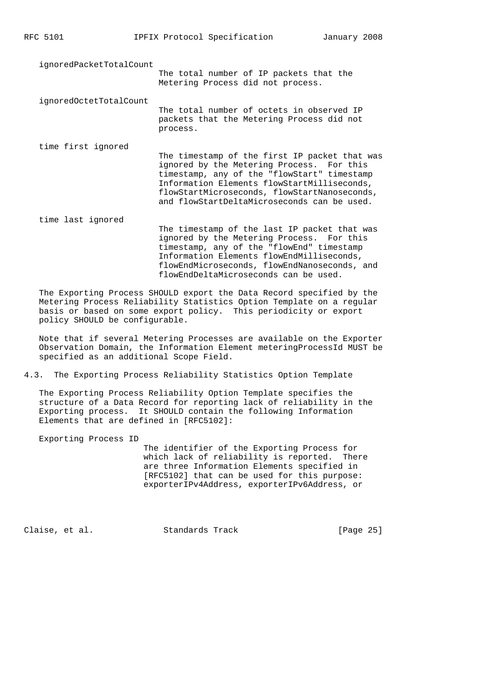| ignoredPacketTotalCount | The total number of IP packets that the<br>Metering Process did not process.                                                                                                                                                                                                            |
|-------------------------|-----------------------------------------------------------------------------------------------------------------------------------------------------------------------------------------------------------------------------------------------------------------------------------------|
| ignoredOctetTotalCount  | The total number of octets in observed IP<br>packets that the Metering Process did not<br>process.                                                                                                                                                                                      |
| time first ignored      | The timestamp of the first IP packet that was<br>ignored by the Metering Process. For this<br>timestamp, any of the "flowStart" timestamp<br>Information Elements flowStartMilliseconds,<br>flowStartMicroseconds, flowStartNanoseconds,<br>and flowStartDeltaMicroseconds can be used. |
| time last ignored       | The timestamp of the last IP packet that was<br>ignored by the Metering Process. For this<br>timestamp, any of the "flowEnd" timestamp                                                                                                                                                  |

 Information Elements flowEndMilliseconds, flowEndMicroseconds, flowEndNanoseconds, and flowEndDeltaMicroseconds can be used.

 The Exporting Process SHOULD export the Data Record specified by the Metering Process Reliability Statistics Option Template on a regular basis or based on some export policy. This periodicity or export policy SHOULD be configurable.

 Note that if several Metering Processes are available on the Exporter Observation Domain, the Information Element meteringProcessId MUST be specified as an additional Scope Field.

4.3. The Exporting Process Reliability Statistics Option Template

 The Exporting Process Reliability Option Template specifies the structure of a Data Record for reporting lack of reliability in the Exporting process. It SHOULD contain the following Information Elements that are defined in [RFC5102]:

 Exporting Process ID The identifier of the Exporting Process for which lack of reliability is reported. There are three Information Elements specified in [RFC5102] that can be used for this purpose: exporterIPv4Address, exporterIPv6Address, or

Claise, et al. Standards Track [Page 25]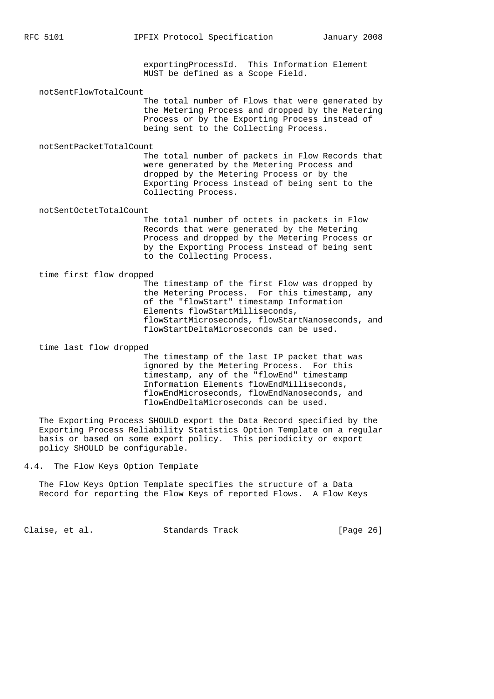exportingProcessId. This Information Element MUST be defined as a Scope Field.

notSentFlowTotalCount

 The total number of Flows that were generated by the Metering Process and dropped by the Metering Process or by the Exporting Process instead of being sent to the Collecting Process.

notSentPacketTotalCount

 The total number of packets in Flow Records that were generated by the Metering Process and dropped by the Metering Process or by the Exporting Process instead of being sent to the Collecting Process.

notSentOctetTotalCount

 The total number of octets in packets in Flow Records that were generated by the Metering Process and dropped by the Metering Process or by the Exporting Process instead of being sent to the Collecting Process.

time first flow dropped

 The timestamp of the first Flow was dropped by the Metering Process. For this timestamp, any of the "flowStart" timestamp Information Elements flowStartMilliseconds, flowStartMicroseconds, flowStartNanoseconds, and flowStartDeltaMicroseconds can be used.

time last flow dropped

 The timestamp of the last IP packet that was ignored by the Metering Process. For this timestamp, any of the "flowEnd" timestamp Information Elements flowEndMilliseconds, flowEndMicroseconds, flowEndNanoseconds, and flowEndDeltaMicroseconds can be used.

 The Exporting Process SHOULD export the Data Record specified by the Exporting Process Reliability Statistics Option Template on a regular basis or based on some export policy. This periodicity or export policy SHOULD be configurable.

4.4. The Flow Keys Option Template

 The Flow Keys Option Template specifies the structure of a Data Record for reporting the Flow Keys of reported Flows. A Flow Keys

Claise, et al. Standards Track [Page 26]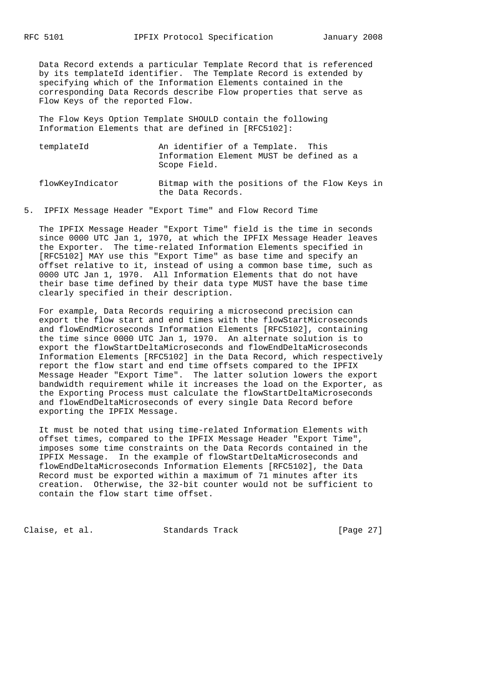Data Record extends a particular Template Record that is referenced by its templateId identifier. The Template Record is extended by specifying which of the Information Elements contained in the corresponding Data Records describe Flow properties that serve as Flow Keys of the reported Flow.

 The Flow Keys Option Template SHOULD contain the following Information Elements that are defined in [RFC5102]:

| templateId       | An identifier of a Template. This<br>Information Element MUST be defined as a<br>Scope Field. |
|------------------|-----------------------------------------------------------------------------------------------|
| flowKeyIndicator | Bitmap with the positions of the Flow Keys in<br>the Data Records.                            |

5. IPFIX Message Header "Export Time" and Flow Record Time

 The IPFIX Message Header "Export Time" field is the time in seconds since 0000 UTC Jan 1, 1970, at which the IPFIX Message Header leaves the Exporter. The time-related Information Elements specified in [RFC5102] MAY use this "Export Time" as base time and specify an offset relative to it, instead of using a common base time, such as 0000 UTC Jan 1, 1970. All Information Elements that do not have their base time defined by their data type MUST have the base time clearly specified in their description.

 For example, Data Records requiring a microsecond precision can export the flow start and end times with the flowStartMicroseconds and flowEndMicroseconds Information Elements [RFC5102], containing the time since 0000 UTC Jan 1, 1970. An alternate solution is to export the flowStartDeltaMicroseconds and flowEndDeltaMicroseconds Information Elements [RFC5102] in the Data Record, which respectively report the flow start and end time offsets compared to the IPFIX Message Header "Export Time". The latter solution lowers the export bandwidth requirement while it increases the load on the Exporter, as the Exporting Process must calculate the flowStartDeltaMicroseconds and flowEndDeltaMicroseconds of every single Data Record before exporting the IPFIX Message.

 It must be noted that using time-related Information Elements with offset times, compared to the IPFIX Message Header "Export Time", imposes some time constraints on the Data Records contained in the IPFIX Message. In the example of flowStartDeltaMicroseconds and flowEndDeltaMicroseconds Information Elements [RFC5102], the Data Record must be exported within a maximum of 71 minutes after its creation. Otherwise, the 32-bit counter would not be sufficient to contain the flow start time offset.

Claise, et al. Standards Track [Page 27]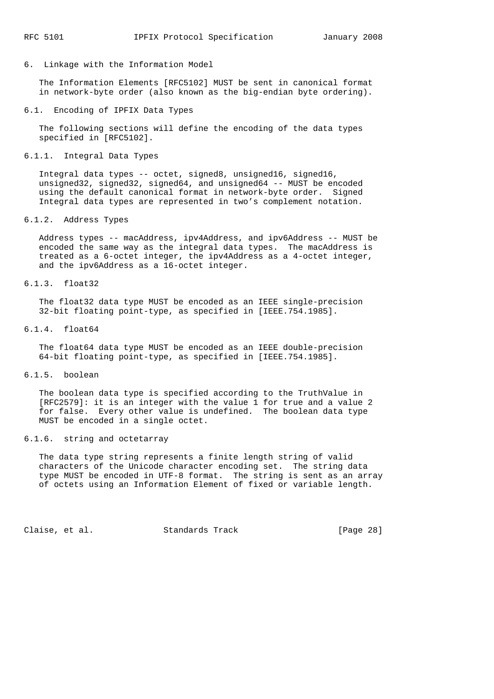6. Linkage with the Information Model

 The Information Elements [RFC5102] MUST be sent in canonical format in network-byte order (also known as the big-endian byte ordering).

6.1. Encoding of IPFIX Data Types

 The following sections will define the encoding of the data types specified in [RFC5102].

6.1.1. Integral Data Types

 Integral data types -- octet, signed8, unsigned16, signed16, unsigned32, signed32, signed64, and unsigned64 -- MUST be encoded using the default canonical format in network-byte order. Signed Integral data types are represented in two's complement notation.

6.1.2. Address Types

 Address types -- macAddress, ipv4Address, and ipv6Address -- MUST be encoded the same way as the integral data types. The macAddress is treated as a 6-octet integer, the ipv4Address as a 4-octet integer, and the ipv6Address as a 16-octet integer.

6.1.3. float32

 The float32 data type MUST be encoded as an IEEE single-precision 32-bit floating point-type, as specified in [IEEE.754.1985].

6.1.4. float64

 The float64 data type MUST be encoded as an IEEE double-precision 64-bit floating point-type, as specified in [IEEE.754.1985].

6.1.5. boolean

 The boolean data type is specified according to the TruthValue in [RFC2579]: it is an integer with the value 1 for true and a value 2 for false. Every other value is undefined. The boolean data type MUST be encoded in a single octet.

6.1.6. string and octetarray

 The data type string represents a finite length string of valid characters of the Unicode character encoding set. The string data type MUST be encoded in UTF-8 format. The string is sent as an array of octets using an Information Element of fixed or variable length.

Claise, et al. Standards Track [Page 28]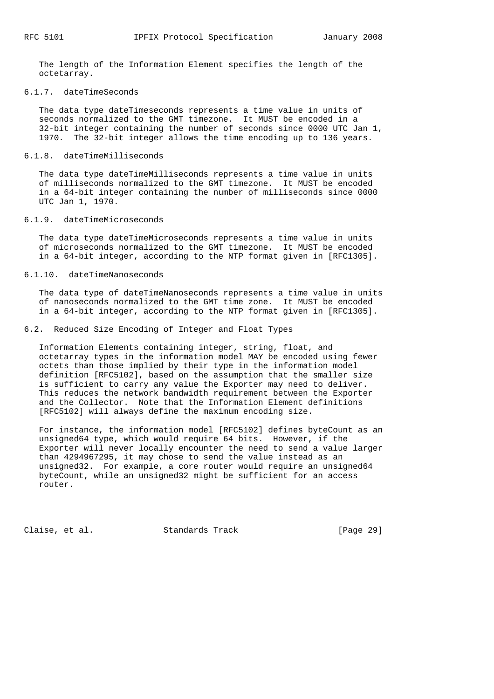The length of the Information Element specifies the length of the octetarray.

## 6.1.7. dateTimeSeconds

The data type dateTimeseconds represents a time value in units of seconds normalized to the GMT timezone. It MUST be encoded in a 32-bit integer containing the number of seconds since 0000 UTC Jan 1, 1970. The 32-bit integer allows the time encoding up to 136 years.

### 6.1.8. dateTimeMilliseconds

The data type dateTimeMilliseconds represents a time value in units of milliseconds normalized to the GMT timezone. It MUST be encoded in a 64-bit integer containing the number of milliseconds since 0000 UTC Jan 1, 1970.

## 6.1.9. dateTimeMicroseconds

 The data type dateTimeMicroseconds represents a time value in units of microseconds normalized to the GMT timezone. It MUST be encoded in a 64-bit integer, according to the NTP format given in [RFC1305].

## 6.1.10. dateTimeNanoseconds

The data type of dateTimeNanoseconds represents a time value in units of nanoseconds normalized to the GMT time zone. It MUST be encoded in a 64-bit integer, according to the NTP format given in [RFC1305].

## 6.2. Reduced Size Encoding of Integer and Float Types

 Information Elements containing integer, string, float, and octetarray types in the information model MAY be encoded using fewer octets than those implied by their type in the information model definition [RFC5102], based on the assumption that the smaller size is sufficient to carry any value the Exporter may need to deliver. This reduces the network bandwidth requirement between the Exporter and the Collector. Note that the Information Element definitions [RFC5102] will always define the maximum encoding size.

 For instance, the information model [RFC5102] defines byteCount as an unsigned64 type, which would require 64 bits. However, if the Exporter will never locally encounter the need to send a value larger than 4294967295, it may chose to send the value instead as an unsigned32. For example, a core router would require an unsigned64 byteCount, while an unsigned32 might be sufficient for an access router.

Claise, et al. Standards Track [Page 29]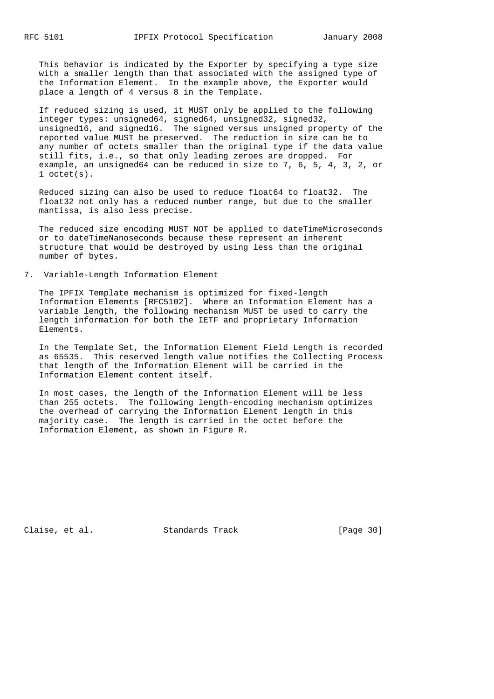This behavior is indicated by the Exporter by specifying a type size with a smaller length than that associated with the assigned type of the Information Element. In the example above, the Exporter would place a length of 4 versus 8 in the Template.

 If reduced sizing is used, it MUST only be applied to the following integer types: unsigned64, signed64, unsigned32, signed32, unsigned16, and signed16. The signed versus unsigned property of the reported value MUST be preserved. The reduction in size can be to any number of octets smaller than the original type if the data value still fits, i.e., so that only leading zeroes are dropped. For example, an unsigned64 can be reduced in size to 7, 6, 5, 4, 3, 2, or 1 octet(s).

 Reduced sizing can also be used to reduce float64 to float32. The float32 not only has a reduced number range, but due to the smaller mantissa, is also less precise.

 The reduced size encoding MUST NOT be applied to dateTimeMicroseconds or to dateTimeNanoseconds because these represent an inherent structure that would be destroyed by using less than the original number of bytes.

7. Variable-Length Information Element

 The IPFIX Template mechanism is optimized for fixed-length Information Elements [RFC5102]. Where an Information Element has a variable length, the following mechanism MUST be used to carry the length information for both the IETF and proprietary Information Elements.

 In the Template Set, the Information Element Field Length is recorded as 65535. This reserved length value notifies the Collecting Process that length of the Information Element will be carried in the Information Element content itself.

 In most cases, the length of the Information Element will be less than 255 octets. The following length-encoding mechanism optimizes the overhead of carrying the Information Element length in this majority case. The length is carried in the octet before the Information Element, as shown in Figure R.

Claise, et al. Standards Track [Page 30]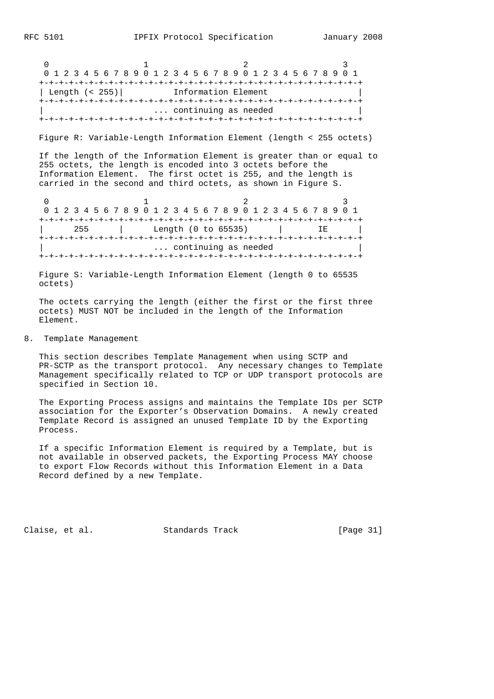0  $1$  2 3 0 1 2 3 4 5 6 7 8 9 0 1 2 3 4 5 6 7 8 9 0 1 2 3 4 5 6 7 8 9 0 1 +-+-+-+-+-+-+-+-+-+-+-+-+-+-+-+-+-+-+-+-+-+-+-+-+-+-+-+-+-+-+-+-+ | Length (< 255)| Information Element +-+-+-+-+-+-+-+-+-+-+-+-+-+-+-+-+-+-+-+-+-+-+-+-+-+-+-+-+-+-+-+-+ ... continuing as needed +-+-+-+-+-+-+-+-+-+-+-+-+-+-+-+-+-+-+-+-+-+-+-+-+-+-+-+-+-+-+-+-+

Figure R: Variable-Length Information Element (length < 255 octets)

 If the length of the Information Element is greater than or equal to 255 octets, the length is encoded into 3 octets before the Information Element. The first octet is 255, and the length is carried in the second and third octets, as shown in Figure S.

0  $1$  2 3 0 1 2 3 4 5 6 7 8 9 0 1 2 3 4 5 6 7 8 9 0 1 2 3 4 5 6 7 8 9 0 1 +-+-+-+-+-+-+-+-+-+-+-+-+-+-+-+-+-+-+-+-+-+-+-+-+-+-+-+-+-+-+-+-+ | 255 | Length (0 to 65535) | IE | +-+-+-+-+-+-+-+-+-+-+-+-+-+-+-+-+-+-+-+-+-+-+-+-+-+-+-+-+-+-+-+-+ ... continuing as needed +-+-+-+-+-+-+-+-+-+-+-+-+-+-+-+-+-+-+-+-+-+-+-+-+-+-+-+-+-+-+-+-+

 Figure S: Variable-Length Information Element (length 0 to 65535 octets)

 The octets carrying the length (either the first or the first three octets) MUST NOT be included in the length of the Information Element.

8. Template Management

 This section describes Template Management when using SCTP and PR-SCTP as the transport protocol. Any necessary changes to Template Management specifically related to TCP or UDP transport protocols are specified in Section 10.

 The Exporting Process assigns and maintains the Template IDs per SCTP association for the Exporter's Observation Domains. A newly created Template Record is assigned an unused Template ID by the Exporting Process.

 If a specific Information Element is required by a Template, but is not available in observed packets, the Exporting Process MAY choose to export Flow Records without this Information Element in a Data Record defined by a new Template.

Claise, et al. Standards Track [Page 31]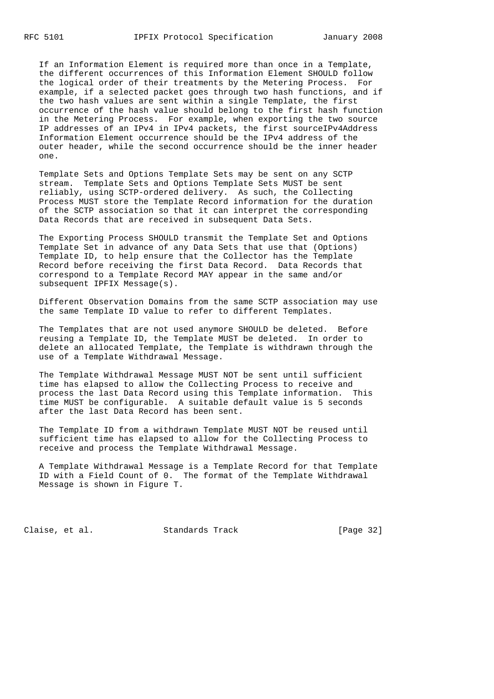If an Information Element is required more than once in a Template, the different occurrences of this Information Element SHOULD follow the logical order of their treatments by the Metering Process. For example, if a selected packet goes through two hash functions, and if the two hash values are sent within a single Template, the first occurrence of the hash value should belong to the first hash function in the Metering Process. For example, when exporting the two source IP addresses of an IPv4 in IPv4 packets, the first sourceIPv4Address Information Element occurrence should be the IPv4 address of the outer header, while the second occurrence should be the inner header one.

 Template Sets and Options Template Sets may be sent on any SCTP stream. Template Sets and Options Template Sets MUST be sent reliably, using SCTP-ordered delivery. As such, the Collecting Process MUST store the Template Record information for the duration of the SCTP association so that it can interpret the corresponding Data Records that are received in subsequent Data Sets.

 The Exporting Process SHOULD transmit the Template Set and Options Template Set in advance of any Data Sets that use that (Options) Template ID, to help ensure that the Collector has the Template Record before receiving the first Data Record. Data Records that correspond to a Template Record MAY appear in the same and/or subsequent IPFIX Message(s).

 Different Observation Domains from the same SCTP association may use the same Template ID value to refer to different Templates.

 The Templates that are not used anymore SHOULD be deleted. Before reusing a Template ID, the Template MUST be deleted. In order to delete an allocated Template, the Template is withdrawn through the use of a Template Withdrawal Message.

 The Template Withdrawal Message MUST NOT be sent until sufficient time has elapsed to allow the Collecting Process to receive and process the last Data Record using this Template information. This time MUST be configurable. A suitable default value is 5 seconds after the last Data Record has been sent.

 The Template ID from a withdrawn Template MUST NOT be reused until sufficient time has elapsed to allow for the Collecting Process to receive and process the Template Withdrawal Message.

 A Template Withdrawal Message is a Template Record for that Template ID with a Field Count of 0. The format of the Template Withdrawal Message is shown in Figure T.

Claise, et al. Standards Track [Page 32]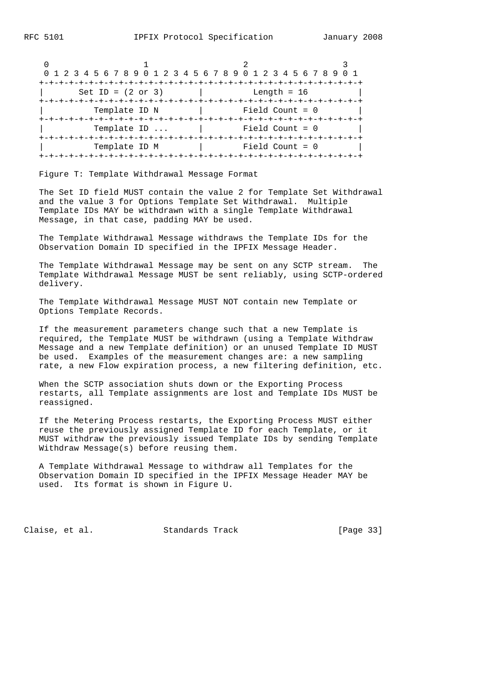|                       | 0 1 2 3 4 5 6 7 8 9 0 1 2 3 4 5 6 7 8 9 0 1 2 3 4 5 6 7 8 9 0 1 |  |
|-----------------------|-----------------------------------------------------------------|--|
| Set ID = $(2$ or $3)$ | Length = $16$                                                   |  |
| Template ID N         | Field Count = $0$                                               |  |
| Template ID           | Field Count = 0<br>the contract of the contract of              |  |
| Template ID M         | $Field Count = 0$                                               |  |

Figure T: Template Withdrawal Message Format

 The Set ID field MUST contain the value 2 for Template Set Withdrawal and the value 3 for Options Template Set Withdrawal. Multiple Template IDs MAY be withdrawn with a single Template Withdrawal Message, in that case, padding MAY be used.

 The Template Withdrawal Message withdraws the Template IDs for the Observation Domain ID specified in the IPFIX Message Header.

 The Template Withdrawal Message may be sent on any SCTP stream. The Template Withdrawal Message MUST be sent reliably, using SCTP-ordered delivery.

 The Template Withdrawal Message MUST NOT contain new Template or Options Template Records.

 If the measurement parameters change such that a new Template is required, the Template MUST be withdrawn (using a Template Withdraw Message and a new Template definition) or an unused Template ID MUST be used. Examples of the measurement changes are: a new sampling rate, a new Flow expiration process, a new filtering definition, etc.

 When the SCTP association shuts down or the Exporting Process restarts, all Template assignments are lost and Template IDs MUST be reassigned.

 If the Metering Process restarts, the Exporting Process MUST either reuse the previously assigned Template ID for each Template, or it MUST withdraw the previously issued Template IDs by sending Template Withdraw Message(s) before reusing them.

 A Template Withdrawal Message to withdraw all Templates for the Observation Domain ID specified in the IPFIX Message Header MAY be used. Its format is shown in Figure U.

Claise, et al. Standards Track [Page 33]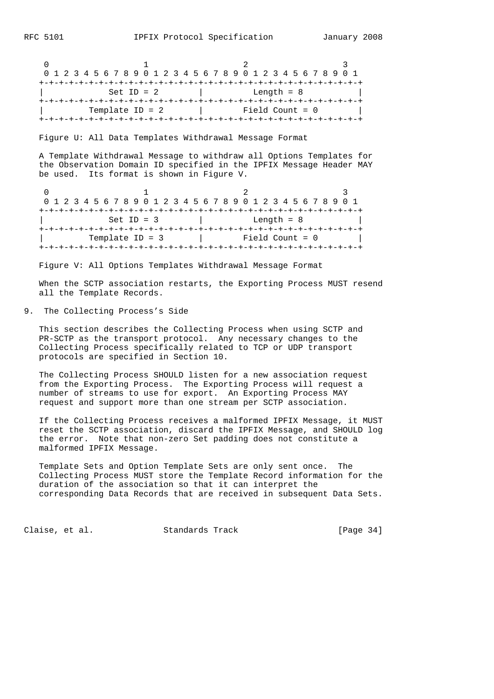| 0 1 2 3 4 5 6 7 8 9 0 1 2 3 4 5 6 7 8 9 0 1 2 3 4 5 6 7 8 9 0 1 |  |  |  |  |  |                   |  |  |  |  |  |  |  |              |  |                   |  |  |  |  |  |
|-----------------------------------------------------------------|--|--|--|--|--|-------------------|--|--|--|--|--|--|--|--------------|--|-------------------|--|--|--|--|--|
|                                                                 |  |  |  |  |  |                   |  |  |  |  |  |  |  |              |  |                   |  |  |  |  |  |
| Set ID = $2$                                                    |  |  |  |  |  |                   |  |  |  |  |  |  |  | Length $= 8$ |  |                   |  |  |  |  |  |
|                                                                 |  |  |  |  |  |                   |  |  |  |  |  |  |  |              |  |                   |  |  |  |  |  |
|                                                                 |  |  |  |  |  | Template $ID = 2$ |  |  |  |  |  |  |  |              |  | Field Count = $0$ |  |  |  |  |  |
|                                                                 |  |  |  |  |  |                   |  |  |  |  |  |  |  |              |  |                   |  |  |  |  |  |

Figure U: All Data Templates Withdrawal Message Format

 A Template Withdrawal Message to withdraw all Options Templates for the Observation Domain ID specified in the IPFIX Message Header MAY be used. Its format is shown in Figure V.

| 0 1 2 3 4 5 6 7 8 9 0 1 2 3 4 5 6 7 8 9 0 1 2 3 4 5 6 7 8 9 0 1 |  |  |  |  |  |                   |  |  |  |  |  |  |  |  |              |  |                   |  |  |  |  |  |
|-----------------------------------------------------------------|--|--|--|--|--|-------------------|--|--|--|--|--|--|--|--|--------------|--|-------------------|--|--|--|--|--|
|                                                                 |  |  |  |  |  |                   |  |  |  |  |  |  |  |  |              |  |                   |  |  |  |  |  |
| Set ID = $3$                                                    |  |  |  |  |  |                   |  |  |  |  |  |  |  |  | Length $= 8$ |  |                   |  |  |  |  |  |
|                                                                 |  |  |  |  |  |                   |  |  |  |  |  |  |  |  |              |  |                   |  |  |  |  |  |
|                                                                 |  |  |  |  |  | Template $ID = 3$ |  |  |  |  |  |  |  |  |              |  | Field Count = $0$ |  |  |  |  |  |
|                                                                 |  |  |  |  |  |                   |  |  |  |  |  |  |  |  |              |  |                   |  |  |  |  |  |

Figure V: All Options Templates Withdrawal Message Format

 When the SCTP association restarts, the Exporting Process MUST resend all the Template Records.

9. The Collecting Process's Side

 This section describes the Collecting Process when using SCTP and PR-SCTP as the transport protocol. Any necessary changes to the Collecting Process specifically related to TCP or UDP transport protocols are specified in Section 10.

 The Collecting Process SHOULD listen for a new association request from the Exporting Process. The Exporting Process will request a number of streams to use for export. An Exporting Process MAY request and support more than one stream per SCTP association.

 If the Collecting Process receives a malformed IPFIX Message, it MUST reset the SCTP association, discard the IPFIX Message, and SHOULD log the error. Note that non-zero Set padding does not constitute a malformed IPFIX Message.

 Template Sets and Option Template Sets are only sent once. The Collecting Process MUST store the Template Record information for the duration of the association so that it can interpret the corresponding Data Records that are received in subsequent Data Sets.

Claise, et al. Standards Track [Page 34]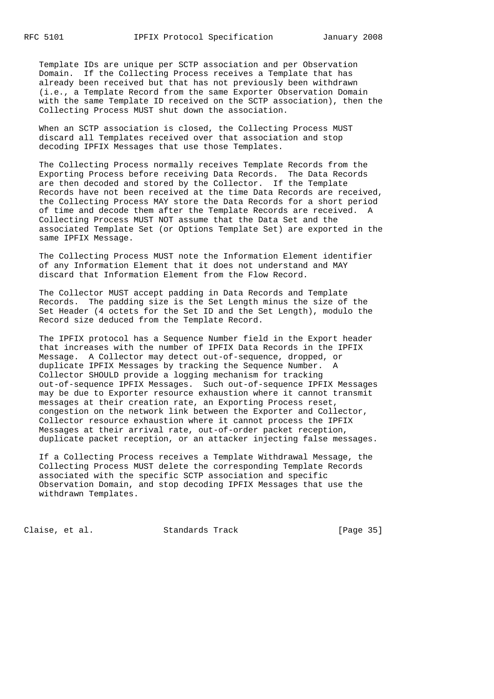Template IDs are unique per SCTP association and per Observation Domain. If the Collecting Process receives a Template that has already been received but that has not previously been withdrawn (i.e., a Template Record from the same Exporter Observation Domain with the same Template ID received on the SCTP association), then the Collecting Process MUST shut down the association.

 When an SCTP association is closed, the Collecting Process MUST discard all Templates received over that association and stop decoding IPFIX Messages that use those Templates.

 The Collecting Process normally receives Template Records from the Exporting Process before receiving Data Records. The Data Records are then decoded and stored by the Collector. If the Template Records have not been received at the time Data Records are received, the Collecting Process MAY store the Data Records for a short period of time and decode them after the Template Records are received. A Collecting Process MUST NOT assume that the Data Set and the associated Template Set (or Options Template Set) are exported in the same IPFIX Message.

 The Collecting Process MUST note the Information Element identifier of any Information Element that it does not understand and MAY discard that Information Element from the Flow Record.

 The Collector MUST accept padding in Data Records and Template Records. The padding size is the Set Length minus the size of the Set Header (4 octets for the Set ID and the Set Length), modulo the Record size deduced from the Template Record.

 The IPFIX protocol has a Sequence Number field in the Export header that increases with the number of IPFIX Data Records in the IPFIX Message. A Collector may detect out-of-sequence, dropped, or duplicate IPFIX Messages by tracking the Sequence Number. A Collector SHOULD provide a logging mechanism for tracking out-of-sequence IPFIX Messages. Such out-of-sequence IPFIX Messages may be due to Exporter resource exhaustion where it cannot transmit messages at their creation rate, an Exporting Process reset, congestion on the network link between the Exporter and Collector, Collector resource exhaustion where it cannot process the IPFIX Messages at their arrival rate, out-of-order packet reception, duplicate packet reception, or an attacker injecting false messages.

 If a Collecting Process receives a Template Withdrawal Message, the Collecting Process MUST delete the corresponding Template Records associated with the specific SCTP association and specific Observation Domain, and stop decoding IPFIX Messages that use the withdrawn Templates.

Claise, et al. Standards Track [Page 35]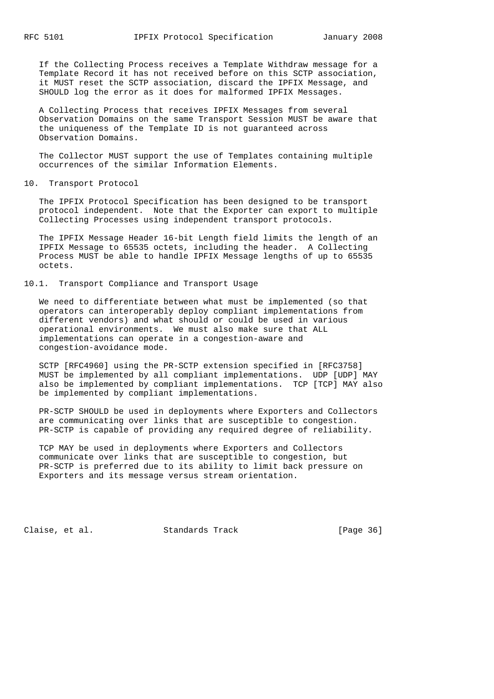If the Collecting Process receives a Template Withdraw message for a Template Record it has not received before on this SCTP association, it MUST reset the SCTP association, discard the IPFIX Message, and SHOULD log the error as it does for malformed IPFIX Messages.

 A Collecting Process that receives IPFIX Messages from several Observation Domains on the same Transport Session MUST be aware that the uniqueness of the Template ID is not guaranteed across Observation Domains.

 The Collector MUST support the use of Templates containing multiple occurrences of the similar Information Elements.

10. Transport Protocol

 The IPFIX Protocol Specification has been designed to be transport protocol independent. Note that the Exporter can export to multiple Collecting Processes using independent transport protocols.

 The IPFIX Message Header 16-bit Length field limits the length of an IPFIX Message to 65535 octets, including the header. A Collecting Process MUST be able to handle IPFIX Message lengths of up to 65535 octets.

### 10.1. Transport Compliance and Transport Usage

 We need to differentiate between what must be implemented (so that operators can interoperably deploy compliant implementations from different vendors) and what should or could be used in various operational environments. We must also make sure that ALL implementations can operate in a congestion-aware and congestion-avoidance mode.

 SCTP [RFC4960] using the PR-SCTP extension specified in [RFC3758] MUST be implemented by all compliant implementations. UDP [UDP] MAY also be implemented by compliant implementations. TCP [TCP] MAY also be implemented by compliant implementations.

 PR-SCTP SHOULD be used in deployments where Exporters and Collectors are communicating over links that are susceptible to congestion. PR-SCTP is capable of providing any required degree of reliability.

 TCP MAY be used in deployments where Exporters and Collectors communicate over links that are susceptible to congestion, but PR-SCTP is preferred due to its ability to limit back pressure on Exporters and its message versus stream orientation.

Claise, et al. Standards Track [Page 36]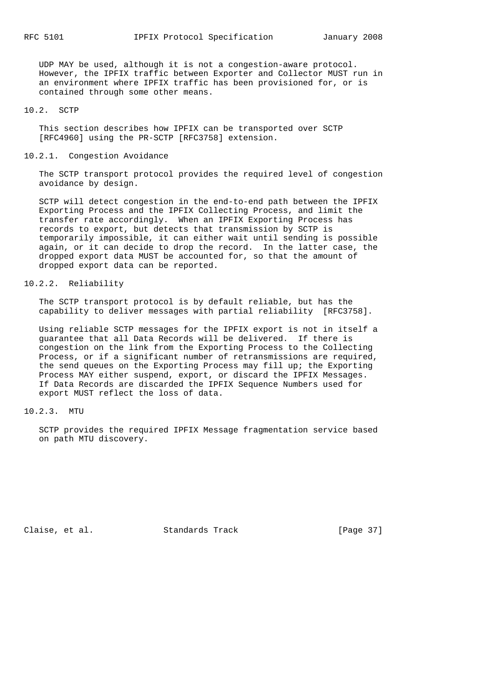UDP MAY be used, although it is not a congestion-aware protocol. However, the IPFIX traffic between Exporter and Collector MUST run in an environment where IPFIX traffic has been provisioned for, or is contained through some other means.

### 10.2. SCTP

 This section describes how IPFIX can be transported over SCTP [RFC4960] using the PR-SCTP [RFC3758] extension.

### 10.2.1. Congestion Avoidance

 The SCTP transport protocol provides the required level of congestion avoidance by design.

 SCTP will detect congestion in the end-to-end path between the IPFIX Exporting Process and the IPFIX Collecting Process, and limit the transfer rate accordingly. When an IPFIX Exporting Process has records to export, but detects that transmission by SCTP is temporarily impossible, it can either wait until sending is possible again, or it can decide to drop the record. In the latter case, the dropped export data MUST be accounted for, so that the amount of dropped export data can be reported.

## 10.2.2. Reliability

 The SCTP transport protocol is by default reliable, but has the capability to deliver messages with partial reliability [RFC3758].

 Using reliable SCTP messages for the IPFIX export is not in itself a guarantee that all Data Records will be delivered. If there is congestion on the link from the Exporting Process to the Collecting Process, or if a significant number of retransmissions are required, the send queues on the Exporting Process may fill up; the Exporting Process MAY either suspend, export, or discard the IPFIX Messages. If Data Records are discarded the IPFIX Sequence Numbers used for export MUST reflect the loss of data.

## 10.2.3. MTU

 SCTP provides the required IPFIX Message fragmentation service based on path MTU discovery.

Claise, et al. Standards Track [Page 37]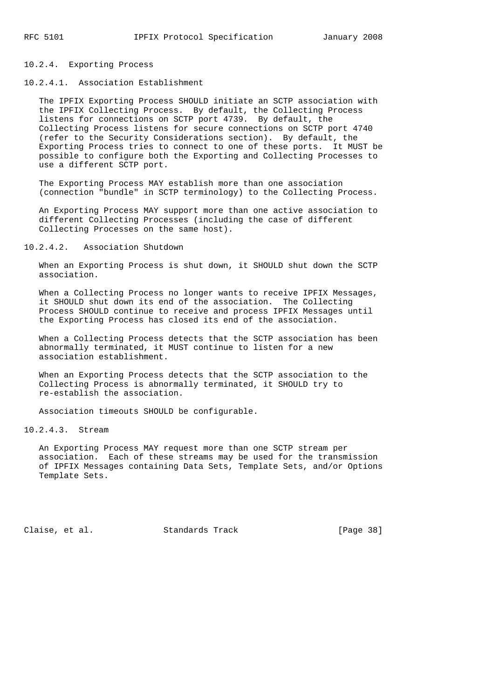## 10.2.4. Exporting Process

## 10.2.4.1. Association Establishment

 The IPFIX Exporting Process SHOULD initiate an SCTP association with the IPFIX Collecting Process. By default, the Collecting Process listens for connections on SCTP port 4739. By default, the Collecting Process listens for secure connections on SCTP port 4740 (refer to the Security Considerations section). By default, the Exporting Process tries to connect to one of these ports. It MUST be possible to configure both the Exporting and Collecting Processes to use a different SCTP port.

 The Exporting Process MAY establish more than one association (connection "bundle" in SCTP terminology) to the Collecting Process.

 An Exporting Process MAY support more than one active association to different Collecting Processes (including the case of different Collecting Processes on the same host).

### 10.2.4.2. Association Shutdown

 When an Exporting Process is shut down, it SHOULD shut down the SCTP association.

 When a Collecting Process no longer wants to receive IPFIX Messages, it SHOULD shut down its end of the association. The Collecting Process SHOULD continue to receive and process IPFIX Messages until the Exporting Process has closed its end of the association.

 When a Collecting Process detects that the SCTP association has been abnormally terminated, it MUST continue to listen for a new association establishment.

 When an Exporting Process detects that the SCTP association to the Collecting Process is abnormally terminated, it SHOULD try to re-establish the association.

Association timeouts SHOULD be configurable.

10.2.4.3. Stream

 An Exporting Process MAY request more than one SCTP stream per association. Each of these streams may be used for the transmission of IPFIX Messages containing Data Sets, Template Sets, and/or Options Template Sets.

Claise, et al. Standards Track [Page 38]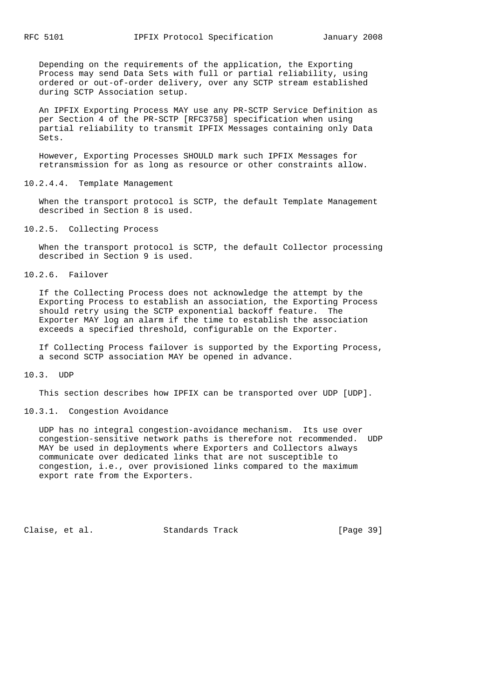Depending on the requirements of the application, the Exporting Process may send Data Sets with full or partial reliability, using ordered or out-of-order delivery, over any SCTP stream established during SCTP Association setup.

 An IPFIX Exporting Process MAY use any PR-SCTP Service Definition as per Section 4 of the PR-SCTP [RFC3758] specification when using partial reliability to transmit IPFIX Messages containing only Data Sets.

 However, Exporting Processes SHOULD mark such IPFIX Messages for retransmission for as long as resource or other constraints allow.

10.2.4.4. Template Management

 When the transport protocol is SCTP, the default Template Management described in Section 8 is used.

10.2.5. Collecting Process

 When the transport protocol is SCTP, the default Collector processing described in Section 9 is used.

10.2.6. Failover

 If the Collecting Process does not acknowledge the attempt by the Exporting Process to establish an association, the Exporting Process should retry using the SCTP exponential backoff feature. The Exporter MAY log an alarm if the time to establish the association exceeds a specified threshold, configurable on the Exporter.

 If Collecting Process failover is supported by the Exporting Process, a second SCTP association MAY be opened in advance.

10.3. UDP

This section describes how IPFIX can be transported over UDP [UDP].

10.3.1. Congestion Avoidance

 UDP has no integral congestion-avoidance mechanism. Its use over congestion-sensitive network paths is therefore not recommended. UDP MAY be used in deployments where Exporters and Collectors always communicate over dedicated links that are not susceptible to congestion, i.e., over provisioned links compared to the maximum export rate from the Exporters.

Claise, et al. Standards Track [Page 39]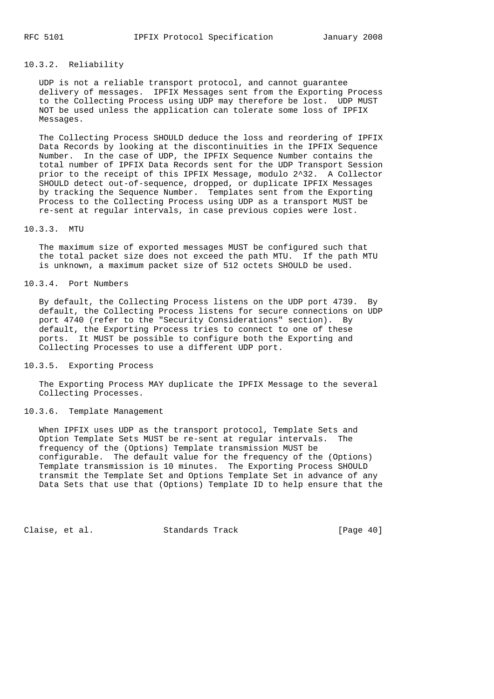## 10.3.2. Reliability

 UDP is not a reliable transport protocol, and cannot guarantee delivery of messages. IPFIX Messages sent from the Exporting Process to the Collecting Process using UDP may therefore be lost. UDP MUST NOT be used unless the application can tolerate some loss of IPFIX Messages.

 The Collecting Process SHOULD deduce the loss and reordering of IPFIX Data Records by looking at the discontinuities in the IPFIX Sequence Number. In the case of UDP, the IPFIX Sequence Number contains the total number of IPFIX Data Records sent for the UDP Transport Session prior to the receipt of this IPFIX Message, modulo 2^32. A Collector SHOULD detect out-of-sequence, dropped, or duplicate IPFIX Messages by tracking the Sequence Number. Templates sent from the Exporting Process to the Collecting Process using UDP as a transport MUST be re-sent at regular intervals, in case previous copies were lost.

### 10.3.3. MTU

 The maximum size of exported messages MUST be configured such that the total packet size does not exceed the path MTU. If the path MTU is unknown, a maximum packet size of 512 octets SHOULD be used.

## 10.3.4. Port Numbers

 By default, the Collecting Process listens on the UDP port 4739. By default, the Collecting Process listens for secure connections on UDP port 4740 (refer to the "Security Considerations" section). By default, the Exporting Process tries to connect to one of these ports. It MUST be possible to configure both the Exporting and Collecting Processes to use a different UDP port.

## 10.3.5. Exporting Process

 The Exporting Process MAY duplicate the IPFIX Message to the several Collecting Processes.

## 10.3.6. Template Management

 When IPFIX uses UDP as the transport protocol, Template Sets and Option Template Sets MUST be re-sent at regular intervals. The frequency of the (Options) Template transmission MUST be configurable. The default value for the frequency of the (Options) Template transmission is 10 minutes. The Exporting Process SHOULD transmit the Template Set and Options Template Set in advance of any Data Sets that use that (Options) Template ID to help ensure that the

Claise, et al. Standards Track [Page 40]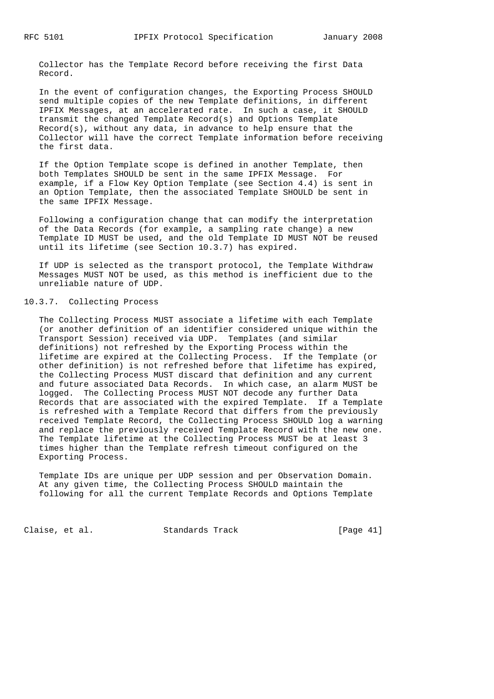Collector has the Template Record before receiving the first Data Record.

 In the event of configuration changes, the Exporting Process SHOULD send multiple copies of the new Template definitions, in different IPFIX Messages, at an accelerated rate. In such a case, it SHOULD transmit the changed Template Record(s) and Options Template  $Record(s)$ , without any data, in advance to help ensure that the Collector will have the correct Template information before receiving the first data.

 If the Option Template scope is defined in another Template, then both Templates SHOULD be sent in the same IPFIX Message. For example, if a Flow Key Option Template (see Section 4.4) is sent in an Option Template, then the associated Template SHOULD be sent in the same IPFIX Message.

 Following a configuration change that can modify the interpretation of the Data Records (for example, a sampling rate change) a new Template ID MUST be used, and the old Template ID MUST NOT be reused until its lifetime (see Section 10.3.7) has expired.

 If UDP is selected as the transport protocol, the Template Withdraw Messages MUST NOT be used, as this method is inefficient due to the unreliable nature of UDP.

## 10.3.7. Collecting Process

 The Collecting Process MUST associate a lifetime with each Template (or another definition of an identifier considered unique within the Transport Session) received via UDP. Templates (and similar definitions) not refreshed by the Exporting Process within the lifetime are expired at the Collecting Process. If the Template (or other definition) is not refreshed before that lifetime has expired, the Collecting Process MUST discard that definition and any current and future associated Data Records. In which case, an alarm MUST be logged. The Collecting Process MUST NOT decode any further Data Records that are associated with the expired Template. If a Template is refreshed with a Template Record that differs from the previously received Template Record, the Collecting Process SHOULD log a warning and replace the previously received Template Record with the new one. The Template lifetime at the Collecting Process MUST be at least 3 times higher than the Template refresh timeout configured on the Exporting Process.

 Template IDs are unique per UDP session and per Observation Domain. At any given time, the Collecting Process SHOULD maintain the following for all the current Template Records and Options Template

Claise, et al. Standards Track [Page 41]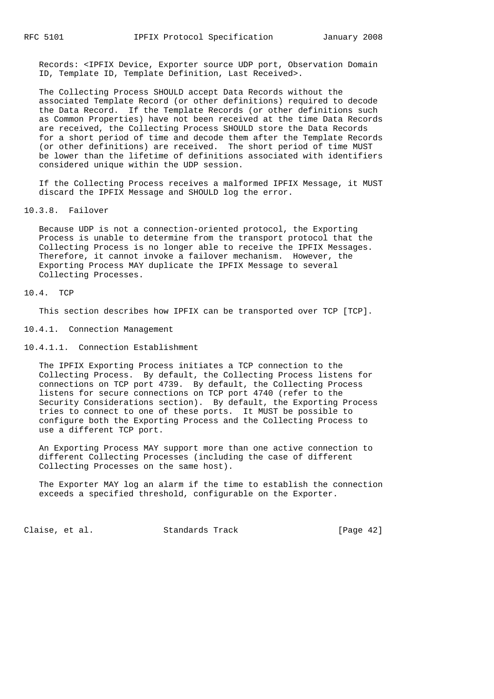Records: <IPFIX Device, Exporter source UDP port, Observation Domain ID, Template ID, Template Definition, Last Received>.

 The Collecting Process SHOULD accept Data Records without the associated Template Record (or other definitions) required to decode the Data Record. If the Template Records (or other definitions such as Common Properties) have not been received at the time Data Records are received, the Collecting Process SHOULD store the Data Records for a short period of time and decode them after the Template Records (or other definitions) are received. The short period of time MUST be lower than the lifetime of definitions associated with identifiers considered unique within the UDP session.

 If the Collecting Process receives a malformed IPFIX Message, it MUST discard the IPFIX Message and SHOULD log the error.

10.3.8. Failover

 Because UDP is not a connection-oriented protocol, the Exporting Process is unable to determine from the transport protocol that the Collecting Process is no longer able to receive the IPFIX Messages. Therefore, it cannot invoke a failover mechanism. However, the Exporting Process MAY duplicate the IPFIX Message to several Collecting Processes.

#### 10.4. TCP

This section describes how IPFIX can be transported over TCP [TCP].

10.4.1. Connection Management

10.4.1.1. Connection Establishment

 The IPFIX Exporting Process initiates a TCP connection to the Collecting Process. By default, the Collecting Process listens for connections on TCP port 4739. By default, the Collecting Process listens for secure connections on TCP port 4740 (refer to the Security Considerations section). By default, the Exporting Process tries to connect to one of these ports. It MUST be possible to configure both the Exporting Process and the Collecting Process to use a different TCP port.

 An Exporting Process MAY support more than one active connection to different Collecting Processes (including the case of different Collecting Processes on the same host).

 The Exporter MAY log an alarm if the time to establish the connection exceeds a specified threshold, configurable on the Exporter.

Claise, et al. Standards Track [Page 42]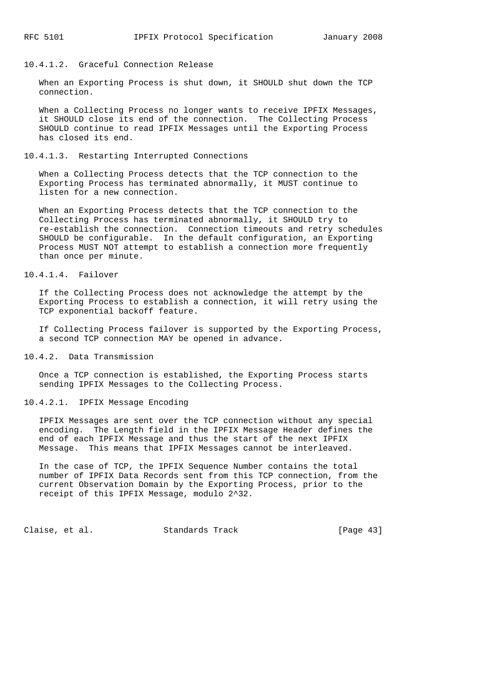## 10.4.1.2. Graceful Connection Release

 When an Exporting Process is shut down, it SHOULD shut down the TCP connection.

 When a Collecting Process no longer wants to receive IPFIX Messages, it SHOULD close its end of the connection. The Collecting Process SHOULD continue to read IPFIX Messages until the Exporting Process has closed its end.

## 10.4.1.3. Restarting Interrupted Connections

 When a Collecting Process detects that the TCP connection to the Exporting Process has terminated abnormally, it MUST continue to listen for a new connection.

 When an Exporting Process detects that the TCP connection to the Collecting Process has terminated abnormally, it SHOULD try to re-establish the connection. Connection timeouts and retry schedules SHOULD be configurable. In the default configuration, an Exporting Process MUST NOT attempt to establish a connection more frequently than once per minute.

## 10.4.1.4. Failover

 If the Collecting Process does not acknowledge the attempt by the Exporting Process to establish a connection, it will retry using the TCP exponential backoff feature.

 If Collecting Process failover is supported by the Exporting Process, a second TCP connection MAY be opened in advance.

10.4.2. Data Transmission

 Once a TCP connection is established, the Exporting Process starts sending IPFIX Messages to the Collecting Process.

## 10.4.2.1. IPFIX Message Encoding

 IPFIX Messages are sent over the TCP connection without any special encoding. The Length field in the IPFIX Message Header defines the end of each IPFIX Message and thus the start of the next IPFIX Message. This means that IPFIX Messages cannot be interleaved.

 In the case of TCP, the IPFIX Sequence Number contains the total number of IPFIX Data Records sent from this TCP connection, from the current Observation Domain by the Exporting Process, prior to the receipt of this IPFIX Message, modulo 2^32.

Claise, et al. Standards Track [Page 43]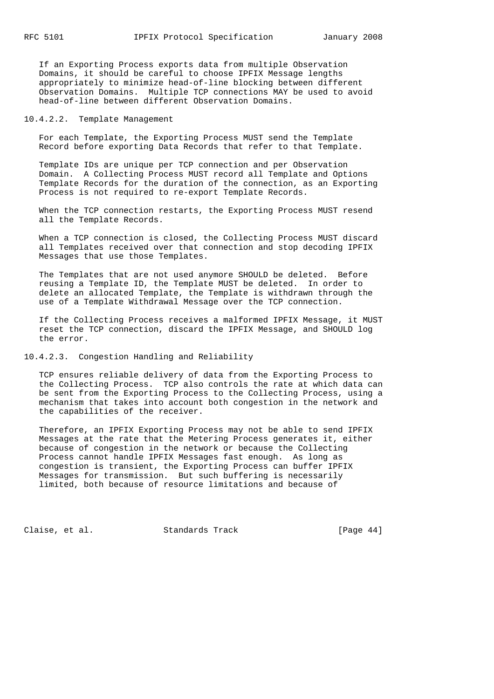If an Exporting Process exports data from multiple Observation Domains, it should be careful to choose IPFIX Message lengths appropriately to minimize head-of-line blocking between different Observation Domains. Multiple TCP connections MAY be used to avoid head-of-line between different Observation Domains.

### 10.4.2.2. Template Management

 For each Template, the Exporting Process MUST send the Template Record before exporting Data Records that refer to that Template.

 Template IDs are unique per TCP connection and per Observation Domain. A Collecting Process MUST record all Template and Options Template Records for the duration of the connection, as an Exporting Process is not required to re-export Template Records.

 When the TCP connection restarts, the Exporting Process MUST resend all the Template Records.

 When a TCP connection is closed, the Collecting Process MUST discard all Templates received over that connection and stop decoding IPFIX Messages that use those Templates.

 The Templates that are not used anymore SHOULD be deleted. Before reusing a Template ID, the Template MUST be deleted. In order to delete an allocated Template, the Template is withdrawn through the use of a Template Withdrawal Message over the TCP connection.

 If the Collecting Process receives a malformed IPFIX Message, it MUST reset the TCP connection, discard the IPFIX Message, and SHOULD log the error.

## 10.4.2.3. Congestion Handling and Reliability

 TCP ensures reliable delivery of data from the Exporting Process to the Collecting Process. TCP also controls the rate at which data can be sent from the Exporting Process to the Collecting Process, using a mechanism that takes into account both congestion in the network and the capabilities of the receiver.

 Therefore, an IPFIX Exporting Process may not be able to send IPFIX Messages at the rate that the Metering Process generates it, either because of congestion in the network or because the Collecting Process cannot handle IPFIX Messages fast enough. As long as congestion is transient, the Exporting Process can buffer IPFIX Messages for transmission. But such buffering is necessarily limited, both because of resource limitations and because of

Claise, et al. Standards Track [Page 44]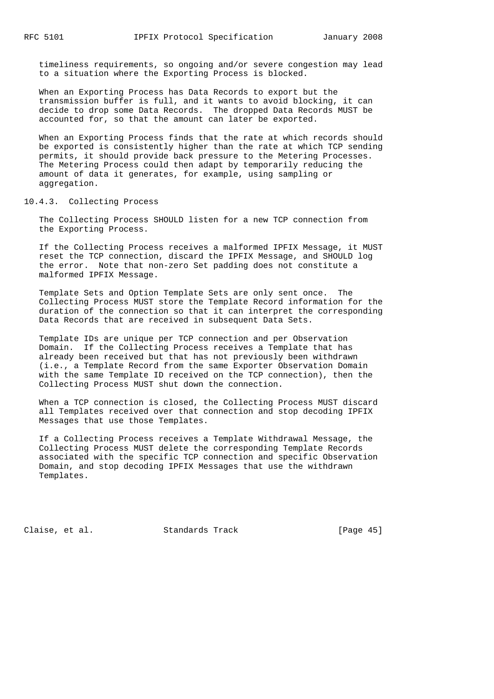timeliness requirements, so ongoing and/or severe congestion may lead to a situation where the Exporting Process is blocked.

 When an Exporting Process has Data Records to export but the transmission buffer is full, and it wants to avoid blocking, it can decide to drop some Data Records. The dropped Data Records MUST be accounted for, so that the amount can later be exported.

 When an Exporting Process finds that the rate at which records should be exported is consistently higher than the rate at which TCP sending permits, it should provide back pressure to the Metering Processes. The Metering Process could then adapt by temporarily reducing the amount of data it generates, for example, using sampling or aggregation.

10.4.3. Collecting Process

 The Collecting Process SHOULD listen for a new TCP connection from the Exporting Process.

 If the Collecting Process receives a malformed IPFIX Message, it MUST reset the TCP connection, discard the IPFIX Message, and SHOULD log the error. Note that non-zero Set padding does not constitute a malformed IPFIX Message.

 Template Sets and Option Template Sets are only sent once. The Collecting Process MUST store the Template Record information for the duration of the connection so that it can interpret the corresponding Data Records that are received in subsequent Data Sets.

 Template IDs are unique per TCP connection and per Observation Domain. If the Collecting Process receives a Template that has already been received but that has not previously been withdrawn (i.e., a Template Record from the same Exporter Observation Domain with the same Template ID received on the TCP connection), then the Collecting Process MUST shut down the connection.

 When a TCP connection is closed, the Collecting Process MUST discard all Templates received over that connection and stop decoding IPFIX Messages that use those Templates.

 If a Collecting Process receives a Template Withdrawal Message, the Collecting Process MUST delete the corresponding Template Records associated with the specific TCP connection and specific Observation Domain, and stop decoding IPFIX Messages that use the withdrawn Templates.

Claise, et al. Standards Track [Page 45]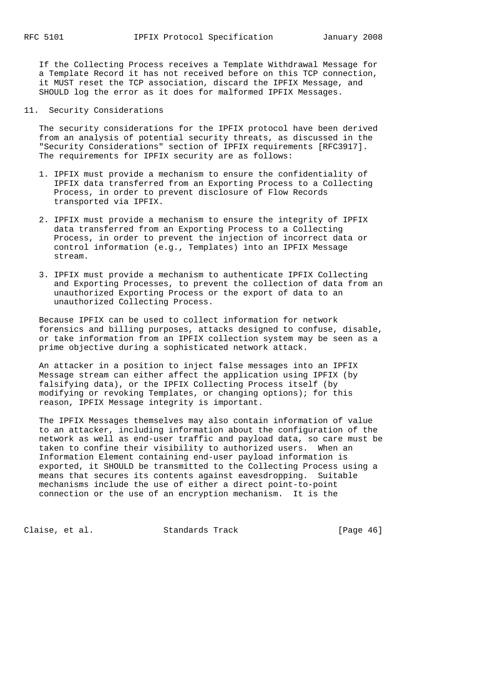If the Collecting Process receives a Template Withdrawal Message for a Template Record it has not received before on this TCP connection, it MUST reset the TCP association, discard the IPFIX Message, and SHOULD log the error as it does for malformed IPFIX Messages.

11. Security Considerations

 The security considerations for the IPFIX protocol have been derived from an analysis of potential security threats, as discussed in the "Security Considerations" section of IPFIX requirements [RFC3917]. The requirements for IPFIX security are as follows:

- 1. IPFIX must provide a mechanism to ensure the confidentiality of IPFIX data transferred from an Exporting Process to a Collecting Process, in order to prevent disclosure of Flow Records transported via IPFIX.
- 2. IPFIX must provide a mechanism to ensure the integrity of IPFIX data transferred from an Exporting Process to a Collecting Process, in order to prevent the injection of incorrect data or control information (e.g., Templates) into an IPFIX Message stream.
- 3. IPFIX must provide a mechanism to authenticate IPFIX Collecting and Exporting Processes, to prevent the collection of data from an unauthorized Exporting Process or the export of data to an unauthorized Collecting Process.

 Because IPFIX can be used to collect information for network forensics and billing purposes, attacks designed to confuse, disable, or take information from an IPFIX collection system may be seen as a prime objective during a sophisticated network attack.

 An attacker in a position to inject false messages into an IPFIX Message stream can either affect the application using IPFIX (by falsifying data), or the IPFIX Collecting Process itself (by modifying or revoking Templates, or changing options); for this reason, IPFIX Message integrity is important.

 The IPFIX Messages themselves may also contain information of value to an attacker, including information about the configuration of the network as well as end-user traffic and payload data, so care must be taken to confine their visibility to authorized users. When an Information Element containing end-user payload information is exported, it SHOULD be transmitted to the Collecting Process using a means that secures its contents against eavesdropping. Suitable mechanisms include the use of either a direct point-to-point connection or the use of an encryption mechanism. It is the

Claise, et al. Standards Track [Page 46]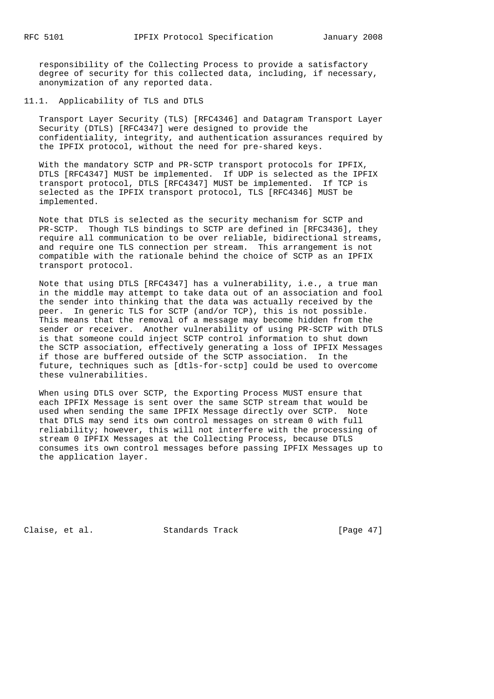responsibility of the Collecting Process to provide a satisfactory degree of security for this collected data, including, if necessary, anonymization of any reported data.

11.1. Applicability of TLS and DTLS

 Transport Layer Security (TLS) [RFC4346] and Datagram Transport Layer Security (DTLS) [RFC4347] were designed to provide the confidentiality, integrity, and authentication assurances required by the IPFIX protocol, without the need for pre-shared keys.

 With the mandatory SCTP and PR-SCTP transport protocols for IPFIX, DTLS [RFC4347] MUST be implemented. If UDP is selected as the IPFIX transport protocol, DTLS [RFC4347] MUST be implemented. If TCP is selected as the IPFIX transport protocol, TLS [RFC4346] MUST be implemented.

 Note that DTLS is selected as the security mechanism for SCTP and PR-SCTP. Though TLS bindings to SCTP are defined in [RFC3436], they require all communication to be over reliable, bidirectional streams, and require one TLS connection per stream. This arrangement is not compatible with the rationale behind the choice of SCTP as an IPFIX transport protocol.

 Note that using DTLS [RFC4347] has a vulnerability, i.e., a true man in the middle may attempt to take data out of an association and fool the sender into thinking that the data was actually received by the peer. In generic TLS for SCTP (and/or TCP), this is not possible. This means that the removal of a message may become hidden from the sender or receiver. Another vulnerability of using PR-SCTP with DTLS is that someone could inject SCTP control information to shut down the SCTP association, effectively generating a loss of IPFIX Messages if those are buffered outside of the SCTP association. In the future, techniques such as [dtls-for-sctp] could be used to overcome these vulnerabilities.

 When using DTLS over SCTP, the Exporting Process MUST ensure that each IPFIX Message is sent over the same SCTP stream that would be used when sending the same IPFIX Message directly over SCTP. Note that DTLS may send its own control messages on stream 0 with full reliability; however, this will not interfere with the processing of stream 0 IPFIX Messages at the Collecting Process, because DTLS consumes its own control messages before passing IPFIX Messages up to the application layer.

Claise, et al. Standards Track [Page 47]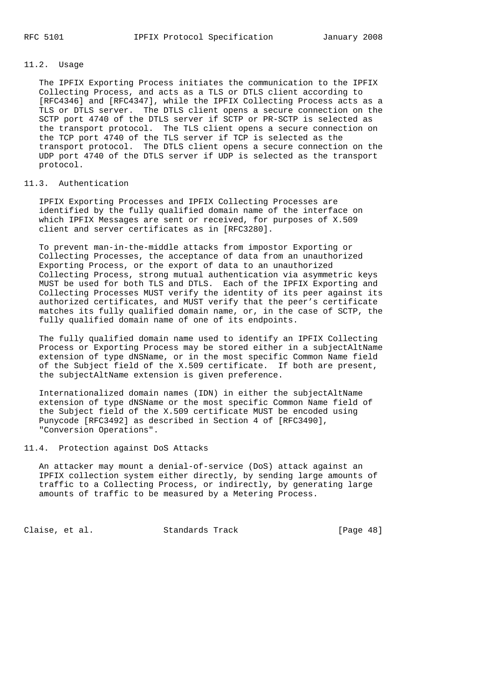### 11.2. Usage

 The IPFIX Exporting Process initiates the communication to the IPFIX Collecting Process, and acts as a TLS or DTLS client according to [RFC4346] and [RFC4347], while the IPFIX Collecting Process acts as a TLS or DTLS server. The DTLS client opens a secure connection on the SCTP port 4740 of the DTLS server if SCTP or PR-SCTP is selected as the transport protocol. The TLS client opens a secure connection on the TCP port 4740 of the TLS server if TCP is selected as the transport protocol. The DTLS client opens a secure connection on the UDP port 4740 of the DTLS server if UDP is selected as the transport protocol.

### 11.3. Authentication

 IPFIX Exporting Processes and IPFIX Collecting Processes are identified by the fully qualified domain name of the interface on which IPFIX Messages are sent or received, for purposes of X.509 client and server certificates as in [RFC3280].

 To prevent man-in-the-middle attacks from impostor Exporting or Collecting Processes, the acceptance of data from an unauthorized Exporting Process, or the export of data to an unauthorized Collecting Process, strong mutual authentication via asymmetric keys MUST be used for both TLS and DTLS. Each of the IPFIX Exporting and Collecting Processes MUST verify the identity of its peer against its authorized certificates, and MUST verify that the peer's certificate matches its fully qualified domain name, or, in the case of SCTP, the fully qualified domain name of one of its endpoints.

 The fully qualified domain name used to identify an IPFIX Collecting Process or Exporting Process may be stored either in a subjectAltName extension of type dNSName, or in the most specific Common Name field of the Subject field of the X.509 certificate. If both are present, the subjectAltName extension is given preference.

 Internationalized domain names (IDN) in either the subjectAltName extension of type dNSName or the most specific Common Name field of the Subject field of the X.509 certificate MUST be encoded using Punycode [RFC3492] as described in Section 4 of [RFC3490], "Conversion Operations".

11.4. Protection against DoS Attacks

 An attacker may mount a denial-of-service (DoS) attack against an IPFIX collection system either directly, by sending large amounts of traffic to a Collecting Process, or indirectly, by generating large amounts of traffic to be measured by a Metering Process.

Claise, et al. Standards Track [Page 48]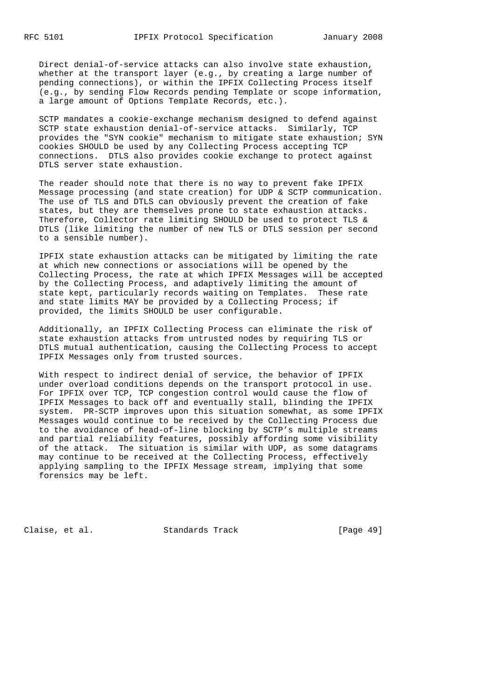Direct denial-of-service attacks can also involve state exhaustion, whether at the transport layer (e.g., by creating a large number of pending connections), or within the IPFIX Collecting Process itself (e.g., by sending Flow Records pending Template or scope information, a large amount of Options Template Records, etc.).

 SCTP mandates a cookie-exchange mechanism designed to defend against SCTP state exhaustion denial-of-service attacks. Similarly, TCP provides the "SYN cookie" mechanism to mitigate state exhaustion; SYN cookies SHOULD be used by any Collecting Process accepting TCP connections. DTLS also provides cookie exchange to protect against DTLS server state exhaustion.

 The reader should note that there is no way to prevent fake IPFIX Message processing (and state creation) for UDP & SCTP communication. The use of TLS and DTLS can obviously prevent the creation of fake states, but they are themselves prone to state exhaustion attacks. Therefore, Collector rate limiting SHOULD be used to protect TLS & DTLS (like limiting the number of new TLS or DTLS session per second to a sensible number).

 IPFIX state exhaustion attacks can be mitigated by limiting the rate at which new connections or associations will be opened by the Collecting Process, the rate at which IPFIX Messages will be accepted by the Collecting Process, and adaptively limiting the amount of state kept, particularly records waiting on Templates. These rate and state limits MAY be provided by a Collecting Process; if provided, the limits SHOULD be user configurable.

 Additionally, an IPFIX Collecting Process can eliminate the risk of state exhaustion attacks from untrusted nodes by requiring TLS or DTLS mutual authentication, causing the Collecting Process to accept IPFIX Messages only from trusted sources.

 With respect to indirect denial of service, the behavior of IPFIX under overload conditions depends on the transport protocol in use. For IPFIX over TCP, TCP congestion control would cause the flow of IPFIX Messages to back off and eventually stall, blinding the IPFIX system. PR-SCTP improves upon this situation somewhat, as some IPFIX Messages would continue to be received by the Collecting Process due to the avoidance of head-of-line blocking by SCTP's multiple streams and partial reliability features, possibly affording some visibility of the attack. The situation is similar with UDP, as some datagrams may continue to be received at the Collecting Process, effectively applying sampling to the IPFIX Message stream, implying that some forensics may be left.

Claise, et al. Standards Track [Page 49]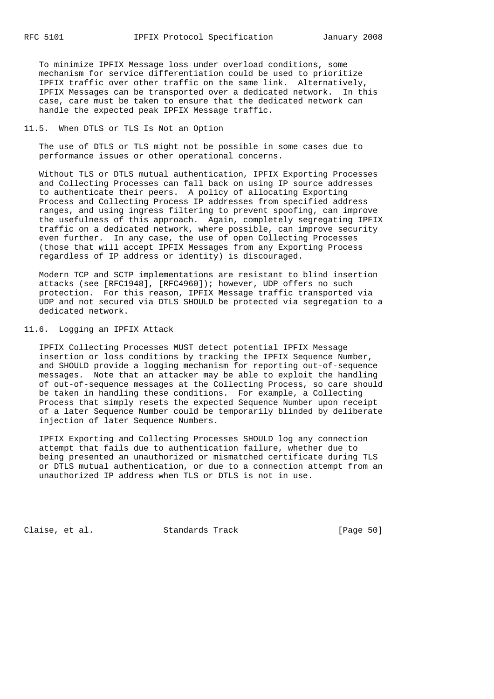To minimize IPFIX Message loss under overload conditions, some mechanism for service differentiation could be used to prioritize IPFIX traffic over other traffic on the same link. Alternatively, IPFIX Messages can be transported over a dedicated network. In this case, care must be taken to ensure that the dedicated network can handle the expected peak IPFIX Message traffic.

11.5. When DTLS or TLS Is Not an Option

 The use of DTLS or TLS might not be possible in some cases due to performance issues or other operational concerns.

 Without TLS or DTLS mutual authentication, IPFIX Exporting Processes and Collecting Processes can fall back on using IP source addresses to authenticate their peers. A policy of allocating Exporting Process and Collecting Process IP addresses from specified address ranges, and using ingress filtering to prevent spoofing, can improve the usefulness of this approach. Again, completely segregating IPFIX traffic on a dedicated network, where possible, can improve security even further. In any case, the use of open Collecting Processes (those that will accept IPFIX Messages from any Exporting Process regardless of IP address or identity) is discouraged.

 Modern TCP and SCTP implementations are resistant to blind insertion attacks (see [RFC1948], [RFC4960]); however, UDP offers no such protection. For this reason, IPFIX Message traffic transported via UDP and not secured via DTLS SHOULD be protected via segregation to a dedicated network.

## 11.6. Logging an IPFIX Attack

 IPFIX Collecting Processes MUST detect potential IPFIX Message insertion or loss conditions by tracking the IPFIX Sequence Number, and SHOULD provide a logging mechanism for reporting out-of-sequence messages. Note that an attacker may be able to exploit the handling of out-of-sequence messages at the Collecting Process, so care should be taken in handling these conditions. For example, a Collecting Process that simply resets the expected Sequence Number upon receipt of a later Sequence Number could be temporarily blinded by deliberate injection of later Sequence Numbers.

 IPFIX Exporting and Collecting Processes SHOULD log any connection attempt that fails due to authentication failure, whether due to being presented an unauthorized or mismatched certificate during TLS or DTLS mutual authentication, or due to a connection attempt from an unauthorized IP address when TLS or DTLS is not in use.

Claise, et al. Standards Track [Page 50]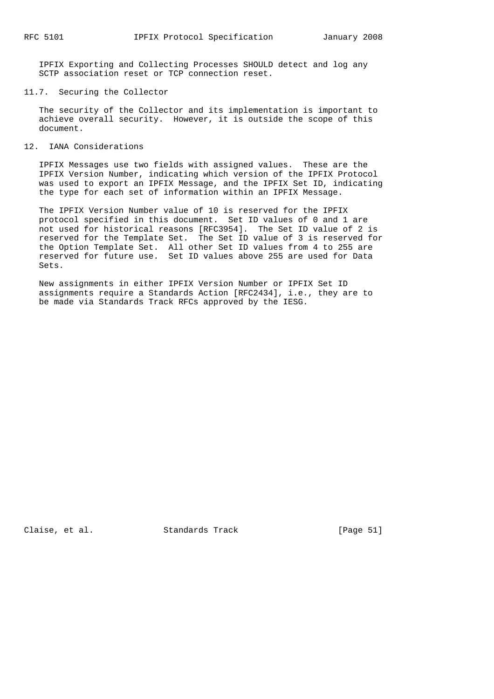IPFIX Exporting and Collecting Processes SHOULD detect and log any SCTP association reset or TCP connection reset.

### 11.7. Securing the Collector

 The security of the Collector and its implementation is important to achieve overall security. However, it is outside the scope of this document.

## 12. IANA Considerations

 IPFIX Messages use two fields with assigned values. These are the IPFIX Version Number, indicating which version of the IPFIX Protocol was used to export an IPFIX Message, and the IPFIX Set ID, indicating the type for each set of information within an IPFIX Message.

 The IPFIX Version Number value of 10 is reserved for the IPFIX protocol specified in this document. Set ID values of 0 and 1 are not used for historical reasons [RFC3954]. The Set ID value of 2 is reserved for the Template Set. The Set ID value of 3 is reserved for the Option Template Set. All other Set ID values from 4 to 255 are reserved for future use. Set ID values above 255 are used for Data Sets.

 New assignments in either IPFIX Version Number or IPFIX Set ID assignments require a Standards Action [RFC2434], i.e., they are to be made via Standards Track RFCs approved by the IESG.

Claise, et al. Standards Track [Page 51]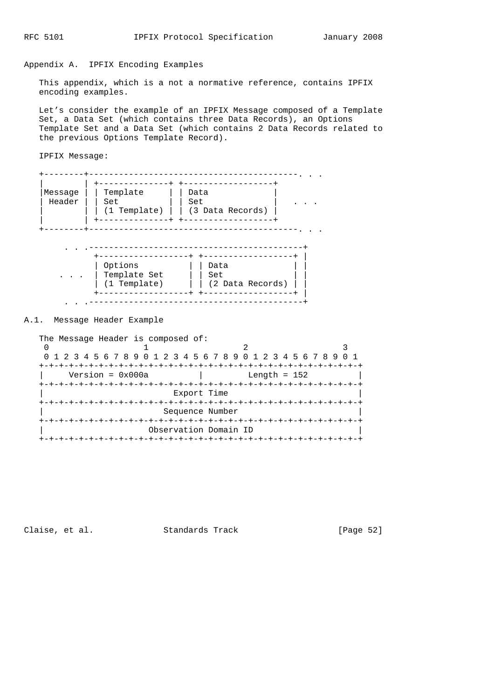## Appendix A. IPFIX Encoding Examples

 This appendix, which is a not a normative reference, contains IPFIX encoding examples.

 Let's consider the example of an IPFIX Message composed of a Template Set, a Data Set (which contains three Data Records), an Options Template Set and a Data Set (which contains 2 Data Records related to the previous Options Template Record).

IPFIX Message:

| Message<br>Header | Template<br>Set | Data<br>Set      |  |
|-------------------|-----------------|------------------|--|
|                   | (1 Template)    | (3 Data Records) |  |
|                   |                 |                  |  |
|                   |                 |                  |  |

| Options<br>Template Set<br>$\sim$<br>$(1$ Template) | Data<br>Set | (2 Data Records) |  |
|-----------------------------------------------------|-------------|------------------|--|
|                                                     |             |                  |  |

## A.1. Message Header Example

 The Message Header is composed of: 0  $1$  2 3 0 1 2 3 4 5 6 7 8 9 0 1 2 3 4 5 6 7 8 9 0 1 2 3 4 5 6 7 8 9 0 1 +-+-+-+-+-+-+-+-+-+-+-+-+-+-+-+-+-+-+-+-+-+-+-+-+-+-+-+-+-+-+-+-+ | Version = 0x000a | Length = 152 | +-+-+-+-+-+-+-+-+-+-+-+-+-+-+-+-+-+-+-+-+-+-+-+-+-+-+-+-+-+-+-+-+ Export Time +-+-+-+-+-+-+-+-+-+-+-+-+-+-+-+-+-+-+-+-+-+-+-+-+-+-+-+-+-+-+-+-+ | Sequence Number | +-+-+-+-+-+-+-+-+-+-+-+-+-+-+-+-+-+-+-+-+-+-+-+-+-+-+-+-+-+-+-+-+ Observation Domain ID +-+-+-+-+-+-+-+-+-+-+-+-+-+-+-+-+-+-+-+-+-+-+-+-+-+-+-+-+-+-+-+-+

Claise, et al. Standards Track [Page 52]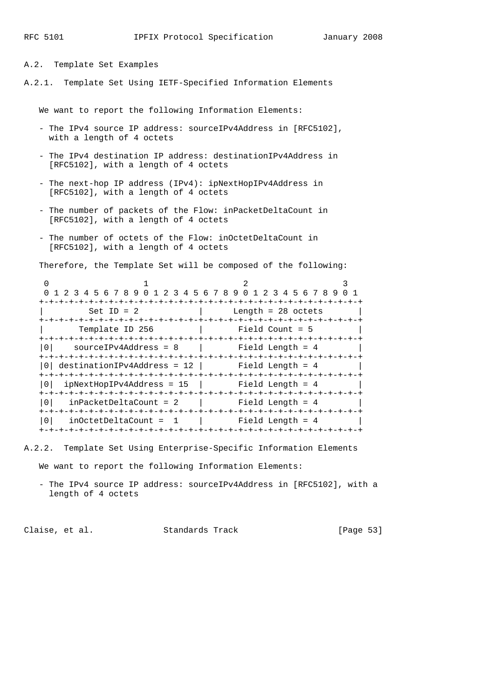A.2. Template Set Examples

A.2.1. Template Set Using IETF-Specified Information Elements

We want to report the following Information Elements:

- The IPv4 source IP address: sourceIPv4Address in [RFC5102], with a length of 4 octets
- The IPv4 destination IP address: destinationIPv4Address in [RFC5102], with a length of 4 octets
- The next-hop IP address (IPv4): ipNextHopIPv4Address in [RFC5102], with a length of 4 octets
- The number of packets of the Flow: inPacketDeltaCount in [RFC5102], with a length of 4 octets
- The number of octets of the Flow: inOctetDeltaCount in [RFC5102], with a length of 4 octets

Therefore, the Template Set will be composed of the following:

| 0 1 2 3 4 5 6 7 8 9 0 1 2 3 4 5 6 7 8 9 0 1 2 3 4 5 6 7 8 9 |                                                                                                       |  |
|-------------------------------------------------------------|-------------------------------------------------------------------------------------------------------|--|
| $Set ID = 2$<br>-+-+-+-+-+-+-+-+-+                          | -+-+-+-+-+-+-+-+-+-+-+-+-+-+-+-+-+-+-+-<br>Length = $28$ octets<br>+-+-+-+-+-+-+-+-+-+-+-+-+-+-+-+-+- |  |
| Template ID 256                                             | 1 Field Count = 5                                                                                     |  |
| $\Omega$<br>$sourceIPv4Address = 8$   Field Length = 4      |                                                                                                       |  |
| $destinationIPv4Address = 12$ Field Length = 4              |                                                                                                       |  |
| $ipNextHopIPv4Address = 15$<br>0 <sup>1</sup>               | Field Length = 4                                                                                      |  |
| $\overline{0}$<br>$inPacketDeltaCount = 2$                  | Field Length = 4                                                                                      |  |
| $\Omega$<br>$inOctoberDeltaCount = 1$                       | Field Length = 4                                                                                      |  |

A.2.2. Template Set Using Enterprise-Specific Information Elements

We want to report the following Information Elements:

 - The IPv4 source IP address: sourceIPv4Address in [RFC5102], with a length of 4 octets

Claise, et al. Standards Track [Page 53]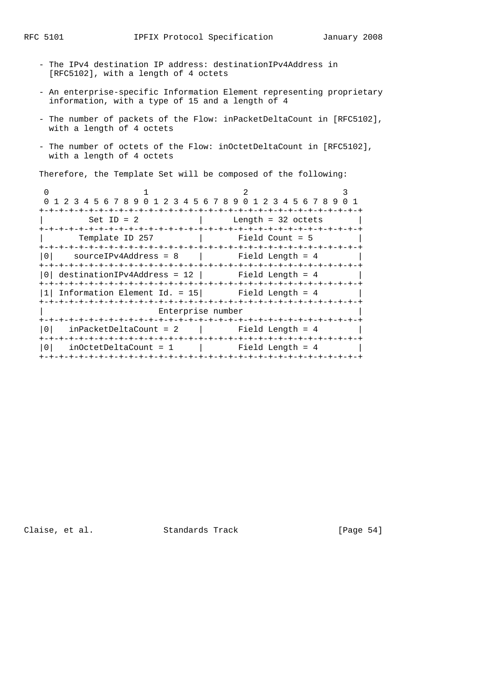- The IPv4 destination IP address: destinationIPv4Address in [RFC5102], with a length of 4 octets
- An enterprise-specific Information Element representing proprietary information, with a type of 15 and a length of 4
- The number of packets of the Flow: inPacketDeltaCount in [RFC5102], with a length of 4 octets
- The number of octets of the Flow: inOctetDeltaCount in [RFC5102], with a length of 4 octets

Therefore, the Template Set will be composed of the following:

|                 | 0 1 2 3 4 5 6 7 8 9 0 1 2 3 4 5 6 7 8 9 0 1 2 3 4 5 6 7 8 9 0 1                                                |  |  |
|-----------------|----------------------------------------------------------------------------------------------------------------|--|--|
| Set ID = $2$    | Length = 32 octets                                                                                             |  |  |
| Template ID 257 | and the state of the state of the state of the state of the state of the state of the state of the state of th |  |  |
| 10 I            | sourceIPv4Address = 8                  Field Length = 4                                                        |  |  |
|                 | $d$ estinationIPv4Address = 12   Field Length = 4                                                              |  |  |
|                 | Information Element Id. = $15$ Field Length = 4                                                                |  |  |
|                 | Enterprise number                                                                                              |  |  |
| $\Omega$        | $inPacketDeltaCount = 2$   Field Length = 4                                                                    |  |  |
| $\Omega$        | $inOctober the ItaCount = 1$ $Field Length = 4$                                                                |  |  |

Claise, et al. Standards Track [Page 54]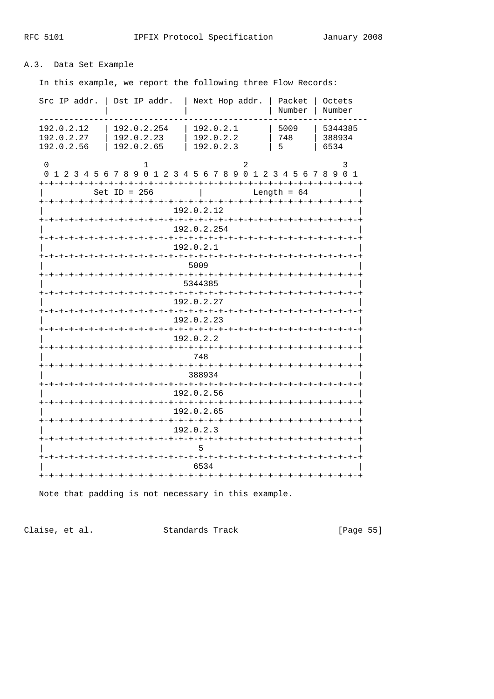# A.3. Data Set Example

In this example, we report the following three Flow Records:

| Src IP addr.                           |  | Dst IP addr.                            |   |  |             |        |  | Next Hop addr.                      |   |                                     | Packet<br>Number                      |  | Octets<br>Number                                                     |
|----------------------------------------|--|-----------------------------------------|---|--|-------------|--------|--|-------------------------------------|---|-------------------------------------|---------------------------------------|--|----------------------------------------------------------------------|
| 192.0.2.12<br>192.0.2.27<br>192.0.2.56 |  | 192.0.2.254<br>192.0.2.23<br>192.0.2.65 |   |  |             |        |  | 192.0.2.1<br>192.0.2.2<br>192.0.2.3 |   |                                     | 5009<br>748<br>5                      |  | 5344385<br>388934<br>6534                                            |
| $\Omega$                               |  |                                         | 1 |  |             |        |  |                                     | 2 |                                     |                                       |  | 3<br>0 1 2 3 4 5 6 7 8 9 0 1 2 3 4 5 6 7 8 9 0 1 2 3 4 5 6 7 8 9 0 1 |
|                                        |  | Set ID = $256$                          |   |  |             |        |  |                                     |   |                                     | Length = $64$                         |  |                                                                      |
|                                        |  |                                         |   |  | 192.0.2.12  |        |  |                                     |   |                                     |                                       |  |                                                                      |
|                                        |  |                                         |   |  | 192.0.2.254 |        |  |                                     |   |                                     | -+-+-+-+-+-+-+-+-+-+-+-+-+-+-+-+-+-+- |  |                                                                      |
|                                        |  |                                         |   |  | 192.0.2.1   |        |  |                                     |   | +-+-+-+-+-+-+-+-+-+-+-+-+-+-+       |                                       |  | $-+ - + - + - + - + - +$                                             |
|                                        |  |                                         |   |  |             | 5009   |  |                                     |   |                                     |                                       |  |                                                                      |
| +-+-+-+-+-+-+-+-+-+-+-+-+-+<br>5344385 |  |                                         |   |  |             |        |  |                                     |   |                                     |                                       |  |                                                                      |
|                                        |  |                                         |   |  | 192.0.2.27  |        |  |                                     |   | -+-+-+-+-+-+-+-+-+-+-+-+-+-+-+-+-+- |                                       |  |                                                                      |
|                                        |  |                                         |   |  | 192.0.2.23  |        |  |                                     |   | -+-+-+-+-+-+-+-+-+-+-+-+-           |                                       |  |                                                                      |
|                                        |  |                                         |   |  | 192.0.2.2   |        |  |                                     |   |                                     |                                       |  |                                                                      |
|                                        |  |                                         |   |  |             | 748    |  |                                     |   | -+-+-+-+-+-+-+-+-+-+-+-+-+-         |                                       |  | +-+-+-+-+-+-+                                                        |
|                                        |  |                                         |   |  |             | 388934 |  |                                     |   | -+-+-+-+-+-+-+-+-+-+-+-+-+-+-+-     |                                       |  | -+-+-+-+-+-+-+                                                       |
|                                        |  |                                         |   |  | 192.0.2.56  |        |  |                                     |   | -+-+-+-+-+-+-+-+-+-+-+-             |                                       |  |                                                                      |
|                                        |  |                                         |   |  | 192.0.2.65  |        |  |                                     |   | -+-+-+-+-+-+-+-+-+-+-+-+-+-+        |                                       |  | -+-+-+-+-+-+-+                                                       |
|                                        |  |                                         |   |  | 192.0.2.3   |        |  |                                     |   |                                     |                                       |  |                                                                      |
|                                        |  |                                         |   |  |             |        |  |                                     |   | -+-+-+-+-+-+-+-+-+-+-+-+-+-+-+-+-   |                                       |  |                                                                      |
| +-+-+-+-+-+-+-+-+-+-+-+-+-+<br>6534    |  |                                         |   |  |             |        |  |                                     |   |                                     |                                       |  |                                                                      |
|                                        |  |                                         |   |  |             |        |  |                                     |   |                                     |                                       |  |                                                                      |

Note that padding is not necessary in this example.

Claise, et al. Standards Track

[Page 55]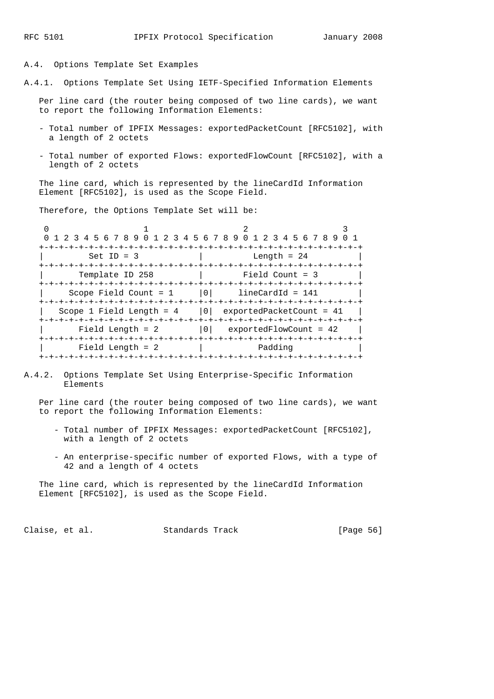## A.4. Options Template Set Examples

A.4.1. Options Template Set Using IETF-Specified Information Elements

 Per line card (the router being composed of two line cards), we want to report the following Information Elements:

- Total number of IPFIX Messages: exportedPacketCount [RFC5102], with a length of 2 octets
- Total number of exported Flows: exportedFlowCount [RFC5102], with a length of 2 octets

 The line card, which is represented by the lineCardId Information Element [RFC5102], is used as the Scope Field.

Therefore, the Options Template Set will be:

0  $1$  2 3 0 1 2 3 4 5 6 7 8 9 0 1 2 3 4 5 6 7 8 9 0 1 2 3 4 5 6 7 8 9 0 1 +-+-+-+-+-+-+-+-+-+-+-+-+-+-+-+-+-+-+-+-+-+-+-+-+-+-+-+-+-+-+-+-+  $\text{Set ID} = 3$  | Length = 24 +-+-+-+-+-+-+-+-+-+-+-+-+-+-+-+-+-+-+-+-+-+-+-+-+-+-+-+-+-+-+-+-+ | Template ID 258 | Field Count = 3 +-+-+-+-+-+-+-+-+-+-+-+-+-+-+-+-+-+-+-+-+-+-+-+-+-+-+-+-+-+-+-+-+ | Scope Field Count =  $1$  |0| lineCardId = 141 +-+-+-+-+-+-+-+-+-+-+-+-+-+-+-+-+-+-+-+-+-+-+-+-+-+-+-+-+-+-+-+-+ | Scope 1 Field Length =  $4$  |0| exportedPacketCount =  $41$  | +-+-+-+-+-+-+-+-+-+-+-+-+-+-+-+-+-+-+-+-+-+-+-+-+-+-+-+-+-+-+-+-+ | Field Length =  $2$  |0| exportedFlowCount =  $42$  | +-+-+-+-+-+-+-+-+-+-+-+-+-+-+-+-+-+-+-+-+-+-+-+-+-+-+-+-+-+-+-+-+ | Field Length = 2 | +-+-+-+-+-+-+-+-+-+-+-+-+-+-+-+-+-+-+-+-+-+-+-+-+-+-+-+-+-+-+-+-+

## A.4.2. Options Template Set Using Enterprise-Specific Information Elements

 Per line card (the router being composed of two line cards), we want to report the following Information Elements:

- Total number of IPFIX Messages: exportedPacketCount [RFC5102], with a length of 2 octets
- An enterprise-specific number of exported Flows, with a type of 42 and a length of 4 octets

 The line card, which is represented by the lineCardId Information Element [RFC5102], is used as the Scope Field.

Claise, et al. Standards Track [Page 56]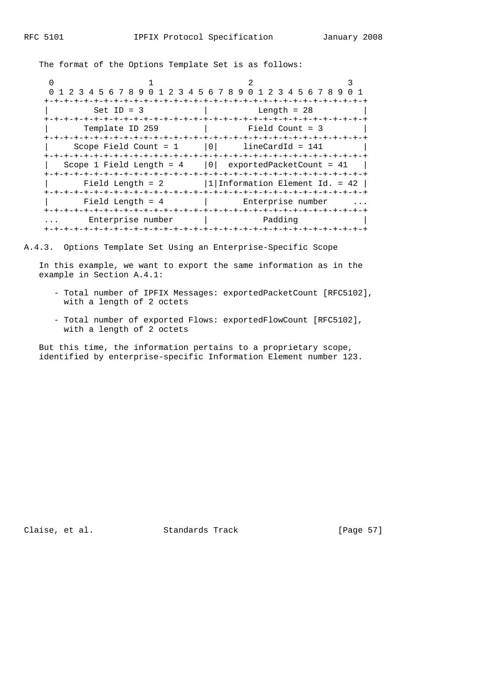The format of the Options Template Set is as follows:

| 0 1 2 3 4 5 6 7 8 9 0 1 2 3 4 5 6 7 8 9 0 1 2 3 4 5 6 7 8 9 |                               |                                    |  |
|-------------------------------------------------------------|-------------------------------|------------------------------------|--|
|                                                             | -+-+-+-+-+-+-+-+-+-+-+-+-+-+- |                                    |  |
| $Set$ ID = 3                                                |                               | Length = $28$                      |  |
|                                                             |                               |                                    |  |
| Template ID 259                                             |                               | Field Count = 3                    |  |
|                                                             |                               |                                    |  |
| Scope Field Count = $1$   0  lineCardId = 141               |                               |                                    |  |
|                                                             |                               |                                    |  |
| Scope 1 Field Length = $4$                                  |                               | $ 0 $ exportedPacketCount = 41     |  |
|                                                             |                               |                                    |  |
| Field Length = $2$                                          |                               | $ 1 $ Information Element Id. = 42 |  |
|                                                             |                               |                                    |  |
| Field Length = $4$                                          |                               | Enterprise number                  |  |
|                                                             |                               |                                    |  |
| Enterprise number                                           |                               | Padding                            |  |
|                                                             |                               |                                    |  |

A.4.3. Options Template Set Using an Enterprise-Specific Scope

 In this example, we want to export the same information as in the example in Section A.4.1:

- Total number of IPFIX Messages: exportedPacketCount [RFC5102], with a length of 2 octets
- Total number of exported Flows: exportedFlowCount [RFC5102], with a length of 2 octets

 But this time, the information pertains to a proprietary scope, identified by enterprise-specific Information Element number 123.

Claise, et al. Standards Track [Page 57]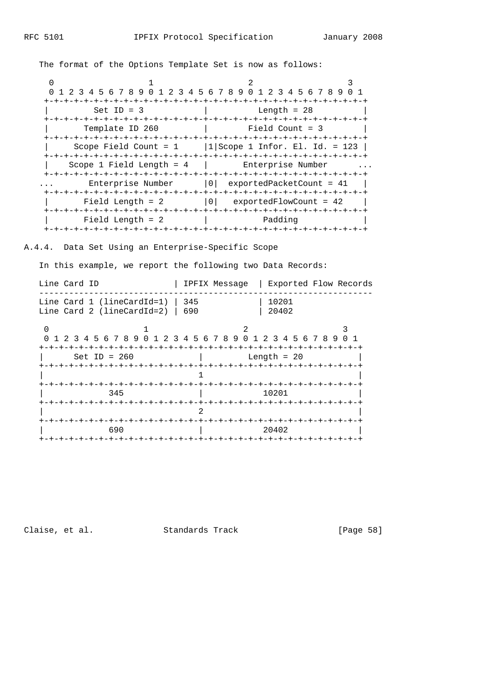The format of the Options Template Set is now as follows:

| 0 1 2 3 4 5 6 7 8 9 0 1 2 3 4 5 6 7 8 9 0 1 2 3 4 5 6 7 8 9 |                                                            |
|-------------------------------------------------------------|------------------------------------------------------------|
| $Set ID = 3$                                                | Length = $28$                                              |
| -+-+-+-+-+-+-+-+-+<br>Template ID 260                       | -+-+-+-+-+-+-+-+-+-+-+-+-+-+-+-+-+-+-+-<br>Field Count = 3 |
|                                                             | Scope Field Count = $1$       Scope 1 Infor. El. Id. = 123 |
| Scope 1 Field Length = $4$   Enterprise Number              |                                                            |
|                                                             | Enterprise Number $ 0 $ exportedPacketCount = 41           |
| Field Length = $2$                                          | $ 0 $ exportedFlowCount = 42                               |
| Field Length = $2$                                          | Padding                                                    |

A.4.4. Data Set Using an Enterprise-Specific Scope

In this example, we report the following two Data Records:

| Line Card ID                                                   | IPFIX Message         | Exported Flow Records |
|----------------------------------------------------------------|-----------------------|-----------------------|
| Line Card 1 (lineCardId=1)<br>Line Card 2 (lineCardId=2)       | 345<br>690            | 10201<br>20402        |
| 0<br>1 2 3 4 5 6 7 8 9 0 1 2 3 4 5 6 7 8 9 0 1 2 3 4 5 6 7 8 9 |                       | $+ - + - + - + - +$   |
| $Set ID = 260$                                                 | -+-+-+-+-+-+-+-+-+-+- | Length = $20$         |
|                                                                |                       |                       |
| 345                                                            |                       | 10201                 |
|                                                                |                       |                       |
| 690<br>+-+-+-+-+-+-+-+-+-+                                     |                       | 20402                 |
|                                                                |                       |                       |

Claise, et al. Standards Track [Page 58]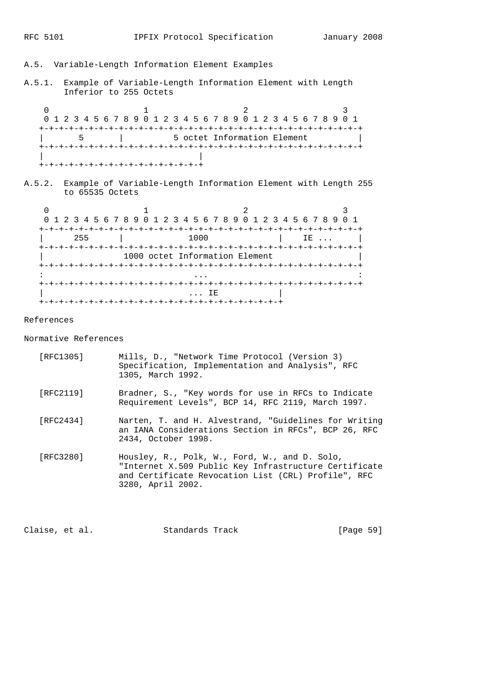# A.5. Variable-Length Information Element Examples

A.5.1. Example of Variable-Length Information Element with Length Inferior to 255 Octets

0  $1$  2 3 0 1 2 3 4 5 6 7 8 9 0 1 2 3 4 5 6 7 8 9 0 1 2 3 4 5 6 7 8 9 0 1 +-+-+-+-+-+-+-+-+-+-+-+-+-+-+-+-+-+-+-+-+-+-+-+-+-+-+-+-+-+-+-+-+ | 5 | 5 octet Information Element | +-+-+-+-+-+-+-+-+-+-+-+-+-+-+-+-+-+-+-+-+-+-+-+-+-+-+-+-+-+-+-+-+ | | +-+-+-+-+-+-+-+-+-+-+-+-+-+-+-+-+

A.5.2. Example of Variable-Length Information Element with Length 255 to 65535 Octets

| 0 1 2 3 4 5 6 7 8 9 0 1 2 3 4 5 6 7 8 9 0 1 2 3 4 5 6 7 8 9 0 1 |                                |             |  |
|-----------------------------------------------------------------|--------------------------------|-------------|--|
|                                                                 |                                |             |  |
| 255                                                             | 1000                           | $IE \ldots$ |  |
|                                                                 |                                |             |  |
|                                                                 | 1000 octet Information Element |             |  |
|                                                                 |                                |             |  |
|                                                                 |                                |             |  |
|                                                                 |                                |             |  |
|                                                                 |                                |             |  |
|                                                                 |                                |             |  |

### References

Normative References

| [RFC1305] | Mills, D., "Network Time Protocol (Version 3)    |
|-----------|--------------------------------------------------|
|           | Specification, Implementation and Analysis", RFC |
|           | 1305, March 1992.                                |

- [RFC2119] Bradner, S., "Key words for use in RFCs to Indicate Requirement Levels", BCP 14, RFC 2119, March 1997.
- [RFC2434] Narten, T. and H. Alvestrand, "Guidelines for Writing an IANA Considerations Section in RFCs", BCP 26, RFC 2434, October 1998.
- [RFC3280] Housley, R., Polk, W., Ford, W., and D. Solo, "Internet X.509 Public Key Infrastructure Certificate and Certificate Revocation List (CRL) Profile", RFC 3280, April 2002.

| Claise, et al.<br>Standards Track | [Page 59] |  |
|-----------------------------------|-----------|--|
|-----------------------------------|-----------|--|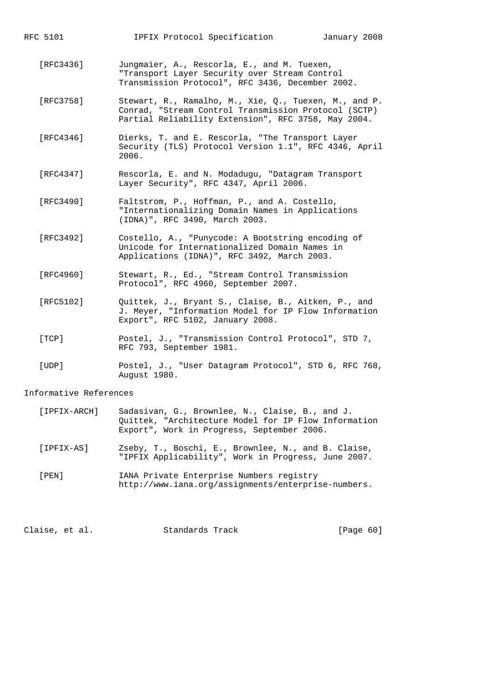- [RFC3436] Jungmaier, A., Rescorla, E., and M. Tuexen, "Transport Layer Security over Stream Control Transmission Protocol", RFC 3436, December 2002.
- [RFC3758] Stewart, R., Ramalho, M., Xie, Q., Tuexen, M., and P. Conrad, "Stream Control Transmission Protocol (SCTP) Partial Reliability Extension", RFC 3758, May 2004.
- [RFC4346] Dierks, T. and E. Rescorla, "The Transport Layer Security (TLS) Protocol Version 1.1", RFC 4346, April 2006.
- [RFC4347] Rescorla, E. and N. Modadugu, "Datagram Transport Layer Security", RFC 4347, April 2006.
- [RFC3490] Faltstrom, P., Hoffman, P., and A. Costello, "Internationalizing Domain Names in Applications (IDNA)", RFC 3490, March 2003.
- [RFC3492] Costello, A., "Punycode: A Bootstring encoding of Unicode for Internationalized Domain Names in Applications (IDNA)", RFC 3492, March 2003.
- [RFC4960] Stewart, R., Ed., "Stream Control Transmission Protocol", RFC 4960, September 2007.
- [RFC5102] Quittek, J., Bryant S., Claise, B., Aitken, P., and J. Meyer, "Information Model for IP Flow Information Export", RFC 5102, January 2008.
- [TCP] Postel, J., "Transmission Control Protocol", STD 7, RFC 793, September 1981.
- [UDP] Postel, J., "User Datagram Protocol", STD 6, RFC 768, August 1980.

### Informative References

- [IPFIX-ARCH] Sadasivan, G., Brownlee, N., Claise, B., and J. Quittek, "Architecture Model for IP Flow Information Export", Work in Progress, September 2006.
- [IPFIX-AS] Zseby, T., Boschi, E., Brownlee, N., and B. Claise, "IPFIX Applicability", Work in Progress, June 2007.
- [PEN] IANA Private Enterprise Numbers registry http://www.iana.org/assignments/enterprise-numbers.

Claise, et al. Standards Track [Page 60]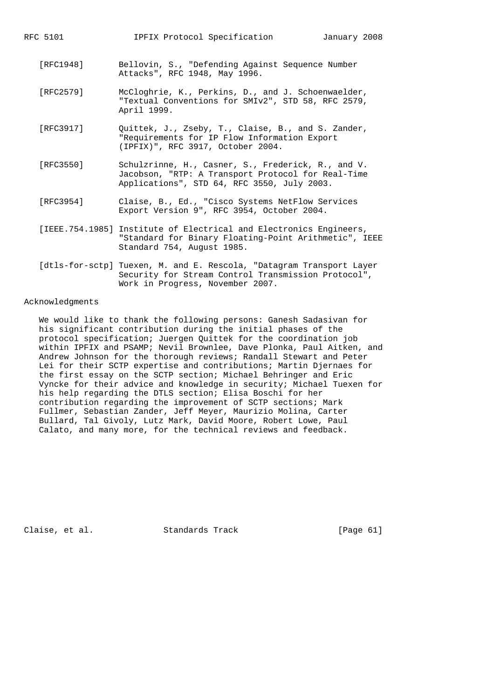- [RFC1948] Bellovin, S., "Defending Against Sequence Number Attacks", RFC 1948, May 1996.
- [RFC2579] McCloghrie, K., Perkins, D., and J. Schoenwaelder, "Textual Conventions for SMIv2", STD 58, RFC 2579, April 1999.
- [RFC3917] Quittek, J., Zseby, T., Claise, B., and S. Zander, "Requirements for IP Flow Information Export (IPFIX)", RFC 3917, October 2004.
- [RFC3550] Schulzrinne, H., Casner, S., Frederick, R., and V. Jacobson, "RTP: A Transport Protocol for Real-Time Applications", STD 64, RFC 3550, July 2003.
- [RFC3954] Claise, B., Ed., "Cisco Systems NetFlow Services Export Version 9", RFC 3954, October 2004.
- [IEEE.754.1985] Institute of Electrical and Electronics Engineers, "Standard for Binary Floating-Point Arithmetic", IEEE Standard 754, August 1985.
- [dtls-for-sctp] Tuexen, M. and E. Rescola, "Datagram Transport Layer Security for Stream Control Transmission Protocol", Work in Progress, November 2007.

### Acknowledgments

 We would like to thank the following persons: Ganesh Sadasivan for his significant contribution during the initial phases of the protocol specification; Juergen Quittek for the coordination job within IPFIX and PSAMP; Nevil Brownlee, Dave Plonka, Paul Aitken, and Andrew Johnson for the thorough reviews; Randall Stewart and Peter Lei for their SCTP expertise and contributions; Martin Djernaes for the first essay on the SCTP section; Michael Behringer and Eric Vyncke for their advice and knowledge in security; Michael Tuexen for his help regarding the DTLS section; Elisa Boschi for her contribution regarding the improvement of SCTP sections; Mark Fullmer, Sebastian Zander, Jeff Meyer, Maurizio Molina, Carter Bullard, Tal Givoly, Lutz Mark, David Moore, Robert Lowe, Paul Calato, and many more, for the technical reviews and feedback.

Claise, et al. Standards Track [Page 61]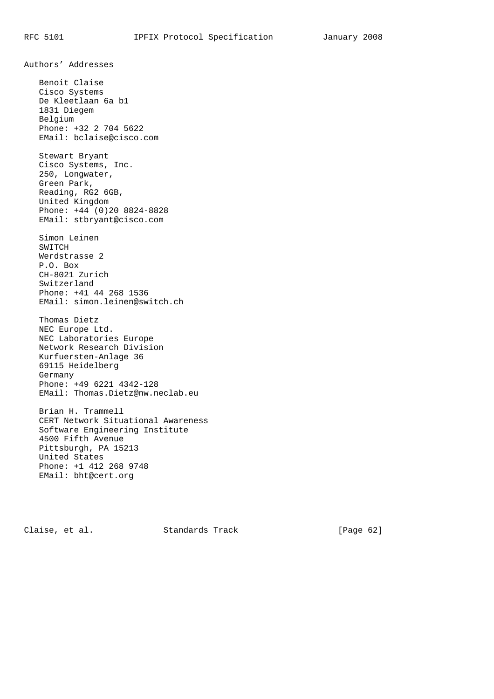Authors' Addresses Benoit Claise Cisco Systems De Kleetlaan 6a b1 1831 Diegem Belgium Phone: +32 2 704 5622 EMail: bclaise@cisco.com Stewart Bryant Cisco Systems, Inc. 250, Longwater, Green Park, Reading, RG2 6GB, United Kingdom Phone: +44 (0)20 8824-8828 EMail: stbryant@cisco.com Simon Leinen SWITCH Werdstrasse 2 P.O. Box CH-8021 Zurich Switzerland Phone: +41 44 268 1536 EMail: simon.leinen@switch.ch Thomas Dietz NEC Europe Ltd. NEC Laboratories Europe Network Research Division Kurfuersten-Anlage 36 69115 Heidelberg Germany Phone: +49 6221 4342-128 EMail: Thomas.Dietz@nw.neclab.eu Brian H. Trammell CERT Network Situational Awareness Software Engineering Institute 4500 Fifth Avenue Pittsburgh, PA 15213 United States

 Phone: +1 412 268 9748 EMail: bht@cert.org

Claise, et al. Standards Track [Page 62]